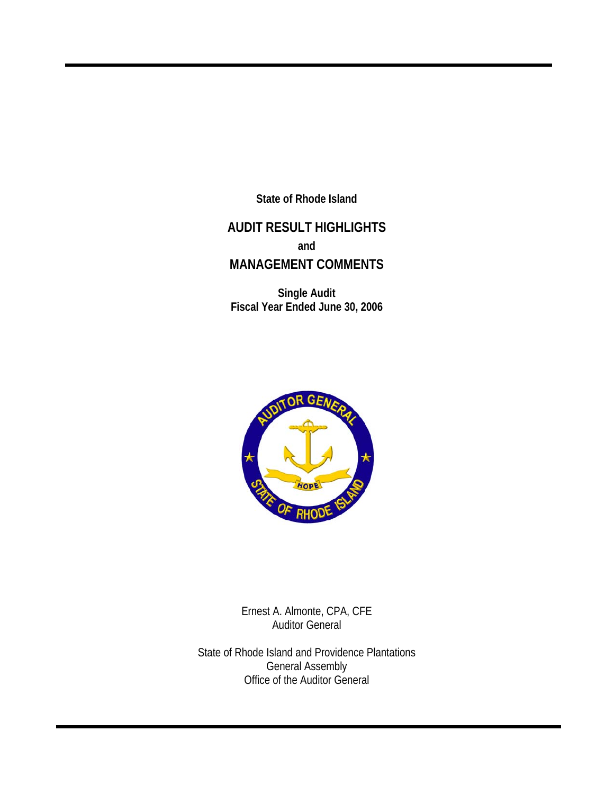**State of Rhode Island** 

# **AUDIT RESULT HIGHLIGHTS and MANAGEMENT COMMENTS**

**Single Audit Fiscal Year Ended June 30, 2006** 



Ernest A. Almonte, CPA, CFE Auditor General

State of Rhode Island and Providence Plantations General Assembly Office of the Auditor General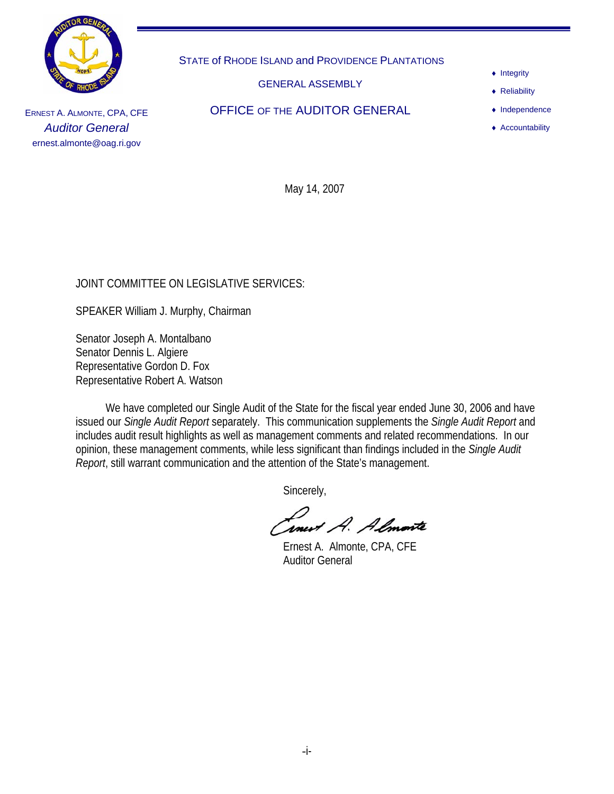

STATE of RHODE ISLAND and PROVIDENCE PLANTATIONS

GENERAL ASSEMBLY

- ♦ Integrity
- ♦ Reliability
- ♦ Independence
- ♦ Accountability

ERNEST A. ALMONTE, CPA, CFE *Auditor General*  ernest.almonte@oag.ri.gov

OFFICE OF THE AUDITOR GENERAL

May 14, 2007

## JOINT COMMITTEE ON LEGISLATIVE SERVICES:

SPEAKER William J. Murphy, Chairman

Senator Joseph A. Montalbano Senator Dennis L. Algiere Representative Gordon D. Fox Representative Robert A. Watson

 We have completed our Single Audit of the State for the fiscal year ended June 30, 2006 and have issued our *Single Audit Report* separately. This communication supplements the *Single Audit Report* and includes audit result highlights as well as management comments and related recommendations. In our opinion, these management comments, while less significant than findings included in the *Single Audit Report*, still warrant communication and the attention of the State's management.

Sincerely,

**Tonest A. Almonte**<br>Ernest A. Almonte, CPA, CFE

Auditor General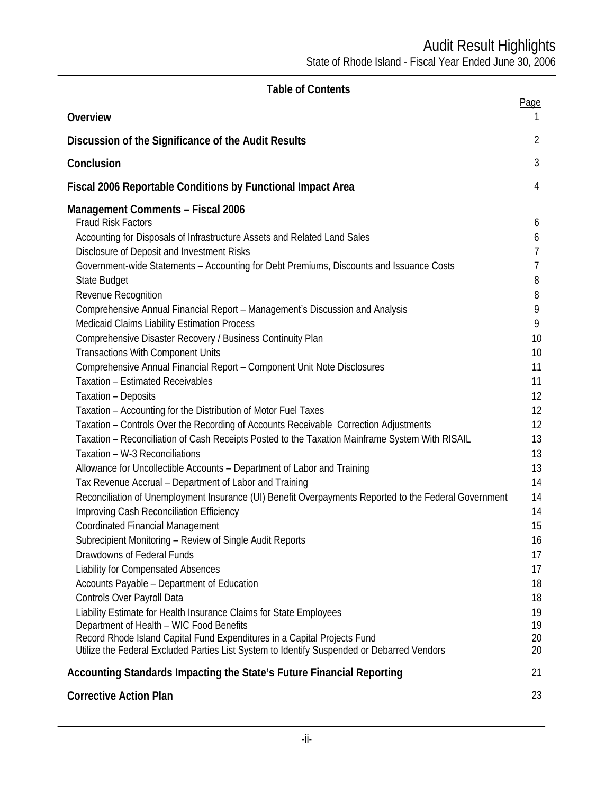| Overview                                                                                                       | Page           |
|----------------------------------------------------------------------------------------------------------------|----------------|
| Discussion of the Significance of the Audit Results                                                            | $\overline{2}$ |
| Conclusion                                                                                                     | $\mathfrak{Z}$ |
| Fiscal 2006 Reportable Conditions by Functional Impact Area                                                    | 4              |
| <b>Management Comments - Fiscal 2006</b>                                                                       |                |
| <b>Fraud Risk Factors</b>                                                                                      | 6              |
| Accounting for Disposals of Infrastructure Assets and Related Land Sales                                       | 6              |
| Disclosure of Deposit and Investment Risks                                                                     | $\overline{7}$ |
| Government-wide Statements - Accounting for Debt Premiums, Discounts and Issuance Costs                        | $\overline{7}$ |
| State Budget                                                                                                   | 8<br>8         |
| Revenue Recognition<br>Comprehensive Annual Financial Report - Management's Discussion and Analysis            | 9              |
| <b>Medicaid Claims Liability Estimation Process</b>                                                            | 9              |
| Comprehensive Disaster Recovery / Business Continuity Plan                                                     | 10             |
| <b>Transactions With Component Units</b>                                                                       | 10             |
| Comprehensive Annual Financial Report - Component Unit Note Disclosures                                        | 11             |
| <b>Taxation - Estimated Receivables</b>                                                                        | 11             |
| Taxation - Deposits                                                                                            | 12             |
| Taxation - Accounting for the Distribution of Motor Fuel Taxes                                                 | 12             |
| Taxation - Controls Over the Recording of Accounts Receivable Correction Adjustments                           | 12             |
| Taxation - Reconciliation of Cash Receipts Posted to the Taxation Mainframe System With RISAIL                 | 13             |
| Taxation - W-3 Reconciliations                                                                                 | 13             |
| Allowance for Uncollectible Accounts - Department of Labor and Training                                        | 13             |
| Tax Revenue Accrual - Department of Labor and Training                                                         | 14             |
| Reconciliation of Unemployment Insurance (UI) Benefit Overpayments Reported to the Federal Government          | 14             |
| Improving Cash Reconciliation Efficiency                                                                       | 14             |
| <b>Coordinated Financial Management</b>                                                                        | 15             |
| Subrecipient Monitoring - Review of Single Audit Reports                                                       | 16             |
| Drawdowns of Federal Funds                                                                                     | 17             |
| <b>Liability for Compensated Absences</b>                                                                      | 17             |
| Accounts Payable - Department of Education                                                                     | 18             |
| Controls Over Payroll Data                                                                                     | 18             |
| Liability Estimate for Health Insurance Claims for State Employees<br>Department of Health - WIC Food Benefits | 19<br>19       |
| Record Rhode Island Capital Fund Expenditures in a Capital Projects Fund                                       | 20             |
| Utilize the Federal Excluded Parties List System to Identify Suspended or Debarred Vendors                     | 20             |
| Accounting Standards Impacting the State's Future Financial Reporting                                          | 21             |
| <b>Corrective Action Plan</b>                                                                                  | 23             |

**Table of Contents**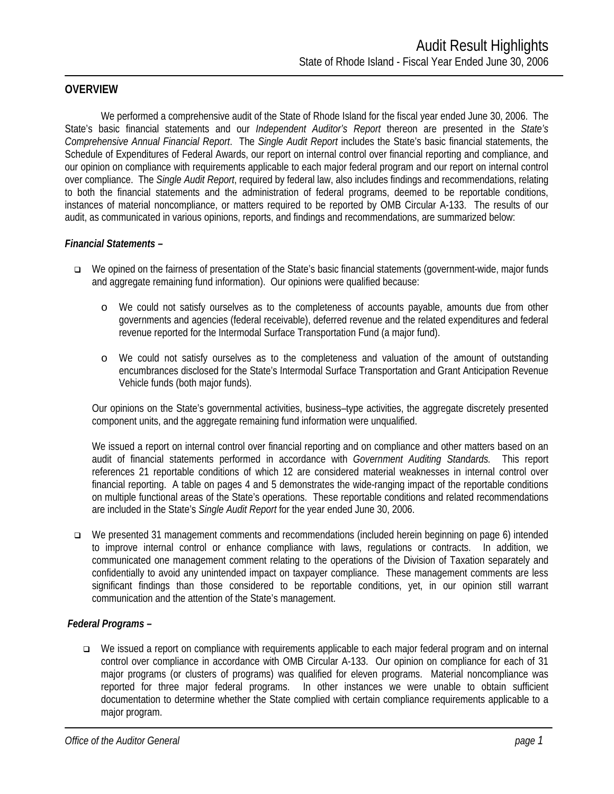### **OVERVIEW**

 We performed a comprehensive audit of the State of Rhode Island for the fiscal year ended June 30, 2006. The State's basic financial statements and our *Independent Auditor's Report* thereon are presented in the *State's Comprehensive Annual Financial Report*. The *Single Audit Report* includes the State's basic financial statements, the Schedule of Expenditures of Federal Awards, our report on internal control over financial reporting and compliance, and our opinion on compliance with requirements applicable to each major federal program and our report on internal control over compliance. The *Single Audit Report*, required by federal law, also includes findings and recommendations, relating to both the financial statements and the administration of federal programs, deemed to be reportable conditions, instances of material noncompliance, or matters required to be reported by OMB Circular A-133. The results of our audit, as communicated in various opinions, reports, and findings and recommendations, are summarized below:

#### *Financial Statements –*

- We opined on the fairness of presentation of the State's basic financial statements (government-wide, major funds and aggregate remaining fund information). Our opinions were qualified because:
	- o We could not satisfy ourselves as to the completeness of accounts payable, amounts due from other governments and agencies (federal receivable), deferred revenue and the related expenditures and federal revenue reported for the Intermodal Surface Transportation Fund (a major fund).
	- o We could not satisfy ourselves as to the completeness and valuation of the amount of outstanding encumbrances disclosed for the State's Intermodal Surface Transportation and Grant Anticipation Revenue Vehicle funds (both major funds).

Our opinions on the State's governmental activities, business–type activities, the aggregate discretely presented component units, and the aggregate remaining fund information were unqualified.

We issued a report on internal control over financial reporting and on compliance and other matters based on an audit of financial statements performed in accordance with *Government Auditing Standards.* This report references 21 reportable conditions of which 12 are considered material weaknesses in internal control over financial reporting. A table on pages 4 and 5 demonstrates the wide-ranging impact of the reportable conditions on multiple functional areas of the State's operations. These reportable conditions and related recommendations are included in the State's *Single Audit Report* for the year ended June 30, 2006.

 We presented 31 management comments and recommendations (included herein beginning on page 6) intended to improve internal control or enhance compliance with laws, regulations or contracts. In addition, we communicated one management comment relating to the operations of the Division of Taxation separately and confidentially to avoid any unintended impact on taxpayer compliance. These management comments are less significant findings than those considered to be reportable conditions, yet, in our opinion still warrant communication and the attention of the State's management.

#### *Federal Programs –*

 We issued a report on compliance with requirements applicable to each major federal program and on internal control over compliance in accordance with OMB Circular A-133. Our opinion on compliance for each of 31 major programs (or clusters of programs) was qualified for eleven programs. Material noncompliance was reported for three major federal programs. In other instances we were unable to obtain sufficient documentation to determine whether the State complied with certain compliance requirements applicable to a major program.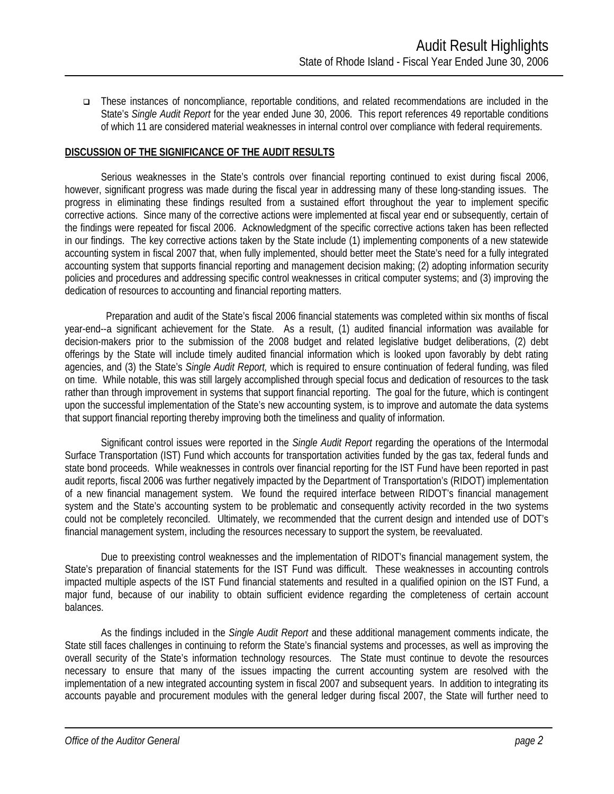These instances of noncompliance, reportable conditions, and related recommendations are included in the State's *Single Audit Report* for the year ended June 30, 2006. This report references 49 reportable conditions of which 11 are considered material weaknesses in internal control over compliance with federal requirements.

#### **DISCUSSION OF THE SIGNIFICANCE OF THE AUDIT RESULTS**

Serious weaknesses in the State's controls over financial reporting continued to exist during fiscal 2006, however, significant progress was made during the fiscal year in addressing many of these long-standing issues. The progress in eliminating these findings resulted from a sustained effort throughout the year to implement specific corrective actions. Since many of the corrective actions were implemented at fiscal year end or subsequently, certain of the findings were repeated for fiscal 2006. Acknowledgment of the specific corrective actions taken has been reflected in our findings. The key corrective actions taken by the State include (1) implementing components of a new statewide accounting system in fiscal 2007 that, when fully implemented, should better meet the State's need for a fully integrated accounting system that supports financial reporting and management decision making; (2) adopting information security policies and procedures and addressing specific control weaknesses in critical computer systems; and (3) improving the dedication of resources to accounting and financial reporting matters.

 Preparation and audit of the State's fiscal 2006 financial statements was completed within six months of fiscal year-end--a significant achievement for the State. As a result, (1) audited financial information was available for decision-makers prior to the submission of the 2008 budget and related legislative budget deliberations, (2) debt offerings by the State will include timely audited financial information which is looked upon favorably by debt rating agencies, and (3) the State's *Single Audit Report,* which is required to ensure continuation of federal funding, was filed on time. While notable, this was still largely accomplished through special focus and dedication of resources to the task rather than through improvement in systems that support financial reporting. The goal for the future, which is contingent upon the successful implementation of the State's new accounting system, is to improve and automate the data systems that support financial reporting thereby improving both the timeliness and quality of information.

Significant control issues were reported in the *Single Audit Report* regarding the operations of the Intermodal Surface Transportation (IST) Fund which accounts for transportation activities funded by the gas tax, federal funds and state bond proceeds. While weaknesses in controls over financial reporting for the IST Fund have been reported in past audit reports, fiscal 2006 was further negatively impacted by the Department of Transportation's (RIDOT) implementation of a new financial management system. We found the required interface between RIDOT's financial management system and the State's accounting system to be problematic and consequently activity recorded in the two systems could not be completely reconciled. Ultimately, we recommended that the current design and intended use of DOT's financial management system, including the resources necessary to support the system, be reevaluated.

Due to preexisting control weaknesses and the implementation of RIDOT's financial management system, the State's preparation of financial statements for the IST Fund was difficult. These weaknesses in accounting controls impacted multiple aspects of the IST Fund financial statements and resulted in a qualified opinion on the IST Fund, a major fund, because of our inability to obtain sufficient evidence regarding the completeness of certain account balances.

As the findings included in the *Single Audit Report* and these additional management comments indicate, the State still faces challenges in continuing to reform the State's financial systems and processes, as well as improving the overall security of the State's information technology resources. The State must continue to devote the resources necessary to ensure that many of the issues impacting the current accounting system are resolved with the implementation of a new integrated accounting system in fiscal 2007 and subsequent years. In addition to integrating its accounts payable and procurement modules with the general ledger during fiscal 2007, the State will further need to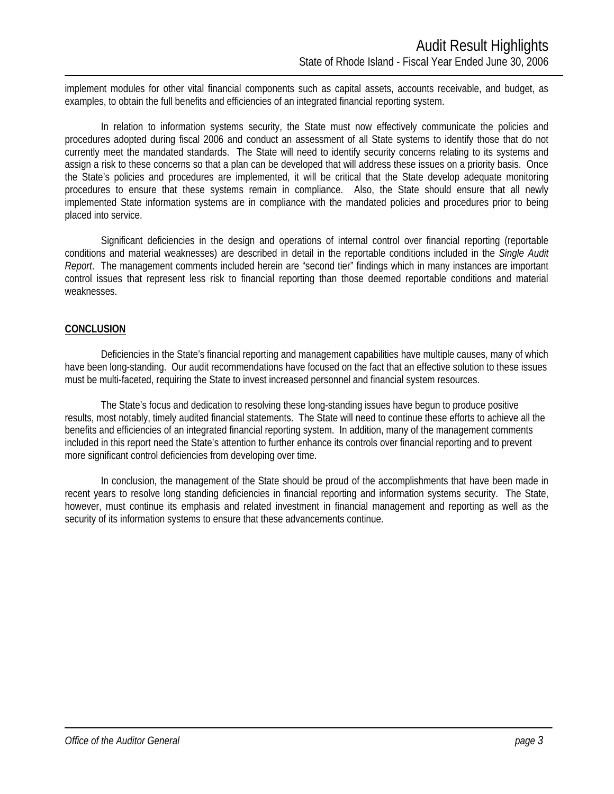implement modules for other vital financial components such as capital assets, accounts receivable, and budget, as examples, to obtain the full benefits and efficiencies of an integrated financial reporting system.

In relation to information systems security, the State must now effectively communicate the policies and procedures adopted during fiscal 2006 and conduct an assessment of all State systems to identify those that do not currently meet the mandated standards. The State will need to identify security concerns relating to its systems and assign a risk to these concerns so that a plan can be developed that will address these issues on a priority basis. Once the State's policies and procedures are implemented, it will be critical that the State develop adequate monitoring procedures to ensure that these systems remain in compliance. Also, the State should ensure that all newly implemented State information systems are in compliance with the mandated policies and procedures prior to being placed into service.

Significant deficiencies in the design and operations of internal control over financial reporting (reportable conditions and material weaknesses) are described in detail in the reportable conditions included in the *Single Audit Report*. The management comments included herein are "second tier" findings which in many instances are important control issues that represent less risk to financial reporting than those deemed reportable conditions and material weaknesses.

#### **CONCLUSION**

Deficiencies in the State's financial reporting and management capabilities have multiple causes, many of which have been long-standing. Our audit recommendations have focused on the fact that an effective solution to these issues must be multi-faceted, requiring the State to invest increased personnel and financial system resources.

The State's focus and dedication to resolving these long-standing issues have begun to produce positive results, most notably, timely audited financial statements. The State will need to continue these efforts to achieve all the benefits and efficiencies of an integrated financial reporting system. In addition, many of the management comments included in this report need the State's attention to further enhance its controls over financial reporting and to prevent more significant control deficiencies from developing over time.

In conclusion, the management of the State should be proud of the accomplishments that have been made in recent years to resolve long standing deficiencies in financial reporting and information systems security. The State, however, must continue its emphasis and related investment in financial management and reporting as well as the security of its information systems to ensure that these advancements continue.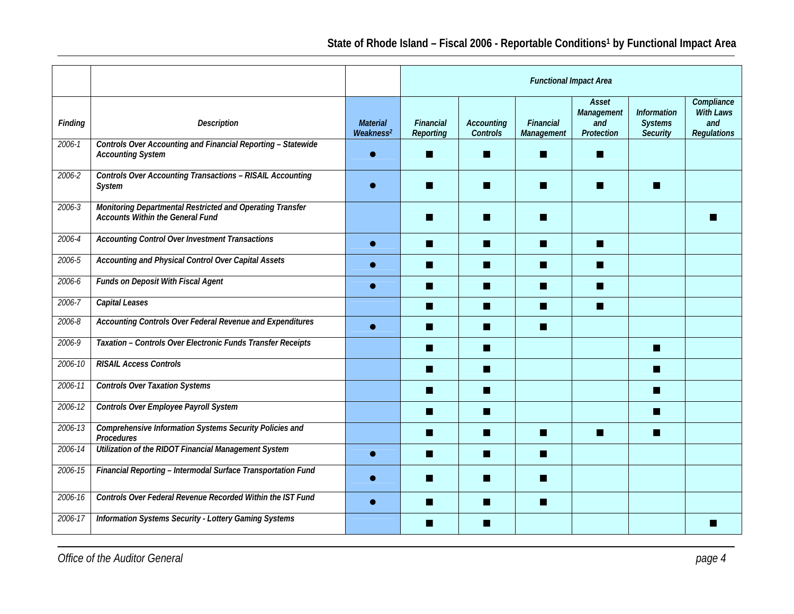|         |                                                                                                      |                                            | <b>Functional Impact Area</b>        |                                      |                         |                                          |                                                         |                                                             |  |  |
|---------|------------------------------------------------------------------------------------------------------|--------------------------------------------|--------------------------------------|--------------------------------------|-------------------------|------------------------------------------|---------------------------------------------------------|-------------------------------------------------------------|--|--|
| Finding | <b>Description</b>                                                                                   | <b>Material</b><br>We a kness <sup>2</sup> | <b>Financial</b><br><b>Reporting</b> | <b>Accounting</b><br><b>Controls</b> | Financial<br>Management | Asset<br>Management<br>and<br>Protection | <b>Information</b><br><b>Systems</b><br><b>Security</b> | Compliance<br><b>With Laws</b><br>and<br><b>Regulations</b> |  |  |
| 2006-1  | Controls Over Accounting and Financial Reporting - Statewide<br><b>Accounting System</b>             |                                            | ш                                    | ш                                    | ш                       | ш                                        |                                                         |                                                             |  |  |
| 2006-2  | <b>Controls Over Accounting Transactions - RISAIL Accounting</b><br><b>System</b>                    |                                            |                                      | ▄                                    | m                       | ш                                        | n.                                                      |                                                             |  |  |
| 2006-3  | Monitoring Departmental Restricted and Operating Transfer<br><b>Accounts Within the General Fund</b> |                                            |                                      |                                      | ш                       |                                          |                                                         |                                                             |  |  |
| 2006-4  | Accounting Control Over Investment Transactions                                                      |                                            | П                                    | П                                    | п                       | П                                        |                                                         |                                                             |  |  |
| 2006-5  | Accounting and Physical Control Over Capital Assets                                                  |                                            | ш                                    | ■                                    | ш                       | ш                                        |                                                         |                                                             |  |  |
| 2006-6  | <b>Funds on Deposit With Fiscal Agent</b>                                                            |                                            | ш                                    | H                                    | ш                       | П                                        |                                                         |                                                             |  |  |
| 2006-7  | Capital Leases                                                                                       |                                            | ٠                                    | H                                    | ш                       | П                                        |                                                         |                                                             |  |  |
| 2006-8  | Accounting Controls Over Federal Revenue and Expenditures                                            |                                            | ш                                    | H                                    | m.                      |                                          |                                                         |                                                             |  |  |
| 2006-9  | Taxation - Controls Over Electronic Funds Transfer Receipts                                          |                                            | ш                                    | ш                                    |                         |                                          | a s                                                     |                                                             |  |  |
| 2006-10 | <b>RISAIL Access Controls</b>                                                                        |                                            | ٠                                    | П                                    |                         |                                          | П                                                       |                                                             |  |  |
| 2006-11 | <b>Controls Over Taxation Systems</b>                                                                |                                            | m                                    | ш                                    |                         |                                          | w                                                       |                                                             |  |  |
| 2006-12 | Controls Over Employee Payroll System                                                                |                                            |                                      | H                                    |                         |                                          |                                                         |                                                             |  |  |
| 2006-13 | Comprehensive Information Systems Security Policies and<br>Procedures                                |                                            | ■                                    | ш                                    | n                       | П                                        | п                                                       |                                                             |  |  |
| 2006-14 | Utilization of the RIDOT Financial Management System                                                 |                                            | ▬                                    | ш                                    | m                       |                                          |                                                         |                                                             |  |  |
| 2006-15 | Financial Reporting - Intermodal Surface Transportation Fund                                         |                                            |                                      | ▄                                    | m                       |                                          |                                                         |                                                             |  |  |
| 2006-16 | Controls Over Federal Revenue Recorded Within the IST Fund                                           |                                            | ш                                    | H                                    | п                       |                                          |                                                         |                                                             |  |  |
| 2006-17 | Information Systems Security - Lottery Gaming Systems                                                |                                            |                                      |                                      |                         |                                          |                                                         |                                                             |  |  |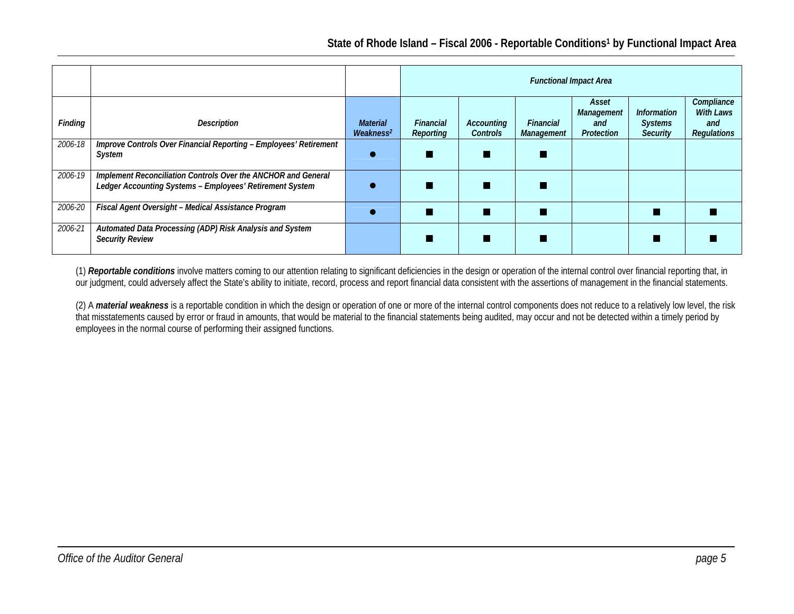|         |                                                                                                                           |                                                | <b>Functional Impact Area</b> |                               |                         |                          |                                   |                                |  |  |  |
|---------|---------------------------------------------------------------------------------------------------------------------------|------------------------------------------------|-------------------------------|-------------------------------|-------------------------|--------------------------|-----------------------------------|--------------------------------|--|--|--|
|         |                                                                                                                           |                                                |                               |                               |                         | Asset<br>Management      | <b>Information</b>                | Compliance<br><b>With Laws</b> |  |  |  |
| Finding | <b>Description</b>                                                                                                        | <b>Material</b><br>We a k n e s s <sup>2</sup> | <b>Financial</b><br>Reporting | Accounting<br><b>Controls</b> | Financial<br>Management | and<br><b>Protection</b> | <b>Systems</b><br><b>Security</b> | and<br><b>Regulations</b>      |  |  |  |
| 2006-18 | Improve Controls Over Financial Reporting - Employees' Retirement<br>System                                               |                                                |                               |                               |                         |                          |                                   |                                |  |  |  |
| 2006-19 | Implement Reconciliation Controls Over the ANCHOR and General<br>Ledger Accounting Systems - Employees' Retirement System |                                                |                               |                               |                         |                          |                                   |                                |  |  |  |
| 2006-20 | Fiscal Agent Oversight - Medical Assistance Program                                                                       |                                                |                               |                               |                         |                          |                                   |                                |  |  |  |
| 2006-21 | Automated Data Processing (ADP) Risk Analysis and System<br><b>Security Review</b>                                        |                                                |                               |                               |                         |                          |                                   |                                |  |  |  |

(1) *Reportable conditions* involve matters coming to our attention relating to significant deficiencies in the design or operation of the internal control over financial reporting that, in our judgment, could adversely affect the State's ability to initiate, record, process and report financial data consistent with the assertions of management in the financial statements.

(2) A *material weakness* is a reportable condition in which the design or operation of one or more of the internal control components does not reduce to a relatively low level, the risk that misstatements caused by error or fraud in amounts, that would be material to the financial statements being audited, may occur and not be detected within a timely period by employees in the normal course of performing their assigned functions.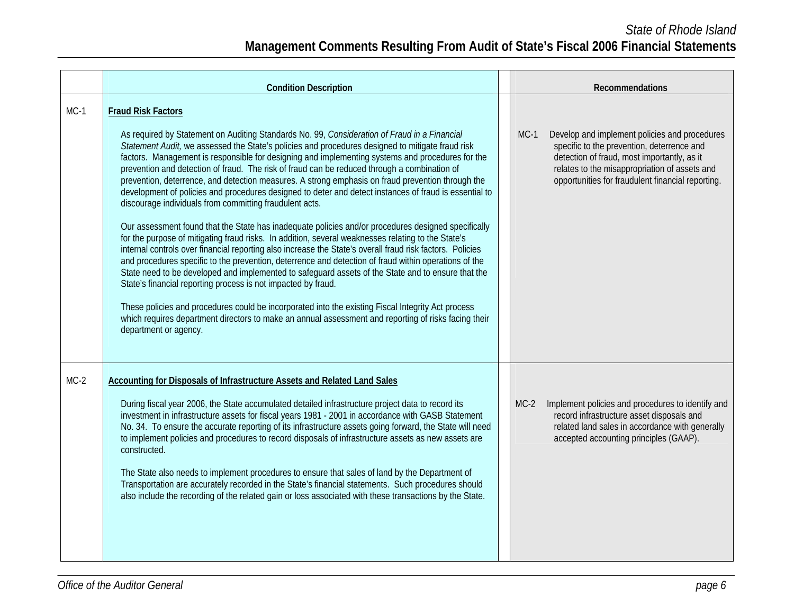|        | <b>Condition Description</b>                                                                                                                                                                                                                                                                                                                                                                                                                                                                                                                                                                                                                                                                                                                                                                                                                                                                                                                                                                                                                                                                                                                                                                                                                                                                                                                                                                                                                                                                                                                                 |        | Recommendations                                                                                                                                                                                                                                  |
|--------|--------------------------------------------------------------------------------------------------------------------------------------------------------------------------------------------------------------------------------------------------------------------------------------------------------------------------------------------------------------------------------------------------------------------------------------------------------------------------------------------------------------------------------------------------------------------------------------------------------------------------------------------------------------------------------------------------------------------------------------------------------------------------------------------------------------------------------------------------------------------------------------------------------------------------------------------------------------------------------------------------------------------------------------------------------------------------------------------------------------------------------------------------------------------------------------------------------------------------------------------------------------------------------------------------------------------------------------------------------------------------------------------------------------------------------------------------------------------------------------------------------------------------------------------------------------|--------|--------------------------------------------------------------------------------------------------------------------------------------------------------------------------------------------------------------------------------------------------|
| $MC-1$ | <b>Fraud Risk Factors</b><br>As required by Statement on Auditing Standards No. 99, Consideration of Fraud in a Financial<br>Statement Audit, we assessed the State's policies and procedures designed to mitigate fraud risk<br>factors. Management is responsible for designing and implementing systems and procedures for the<br>prevention and detection of fraud. The risk of fraud can be reduced through a combination of<br>prevention, deterrence, and detection measures. A strong emphasis on fraud prevention through the<br>development of policies and procedures designed to deter and detect instances of fraud is essential to<br>discourage individuals from committing fraudulent acts.<br>Our assessment found that the State has inadequate policies and/or procedures designed specifically<br>for the purpose of mitigating fraud risks. In addition, several weaknesses relating to the State's<br>internal controls over financial reporting also increase the State's overall fraud risk factors. Policies<br>and procedures specific to the prevention, deterrence and detection of fraud within operations of the<br>State need to be developed and implemented to safeguard assets of the State and to ensure that the<br>State's financial reporting process is not impacted by fraud.<br>These policies and procedures could be incorporated into the existing Fiscal Integrity Act process<br>which requires department directors to make an annual assessment and reporting of risks facing their<br>department or agency. | $MC-1$ | Develop and implement policies and procedures<br>specific to the prevention, deterrence and<br>detection of fraud, most importantly, as it<br>relates to the misappropriation of assets and<br>opportunities for fraudulent financial reporting. |
| $MC-2$ | Accounting for Disposals of Infrastructure Assets and Related Land Sales<br>During fiscal year 2006, the State accumulated detailed infrastructure project data to record its<br>investment in infrastructure assets for fiscal years 1981 - 2001 in accordance with GASB Statement<br>No. 34. To ensure the accurate reporting of its infrastructure assets going forward, the State will need<br>to implement policies and procedures to record disposals of infrastructure assets as new assets are<br>constructed.<br>The State also needs to implement procedures to ensure that sales of land by the Department of<br>Transportation are accurately recorded in the State's financial statements. Such procedures should<br>also include the recording of the related gain or loss associated with these transactions by the State.                                                                                                                                                                                                                                                                                                                                                                                                                                                                                                                                                                                                                                                                                                                    | $MC-2$ | Implement policies and procedures to identify and<br>record infrastructure asset disposals and<br>related land sales in accordance with generally<br>accepted accounting principles (GAAP).                                                      |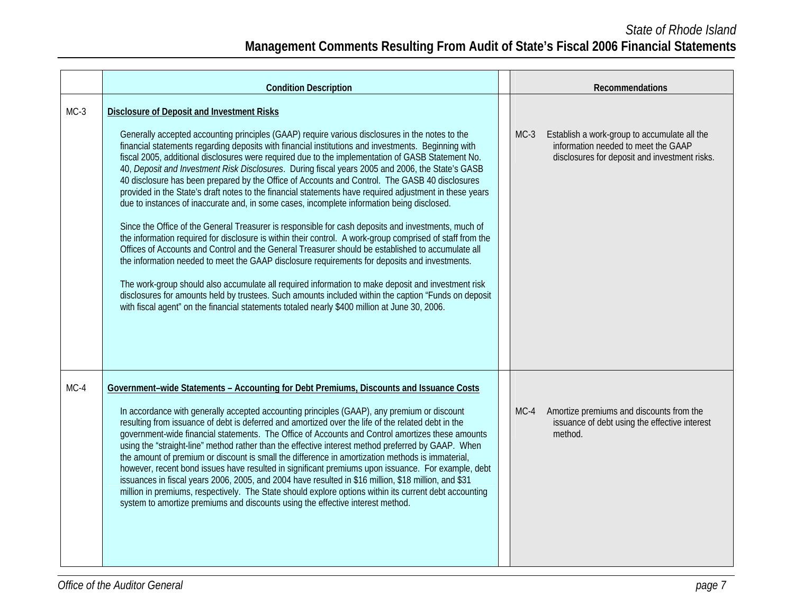|        | <b>Condition Description</b>                                                                                                                                                                                                                                                                                                                                                                                                                                                                                                                                                                                                                                                                                                                                                                                                                                                                                                                                                                                                                                                                                                                                                                                                                                                                                                                                                                                                                                                                                             |        | Recommendations                                                                                                                      |
|--------|--------------------------------------------------------------------------------------------------------------------------------------------------------------------------------------------------------------------------------------------------------------------------------------------------------------------------------------------------------------------------------------------------------------------------------------------------------------------------------------------------------------------------------------------------------------------------------------------------------------------------------------------------------------------------------------------------------------------------------------------------------------------------------------------------------------------------------------------------------------------------------------------------------------------------------------------------------------------------------------------------------------------------------------------------------------------------------------------------------------------------------------------------------------------------------------------------------------------------------------------------------------------------------------------------------------------------------------------------------------------------------------------------------------------------------------------------------------------------------------------------------------------------|--------|--------------------------------------------------------------------------------------------------------------------------------------|
| $MC-3$ | <b>Disclosure of Deposit and Investment Risks</b><br>Generally accepted accounting principles (GAAP) require various disclosures in the notes to the<br>financial statements regarding deposits with financial institutions and investments. Beginning with<br>fiscal 2005, additional disclosures were required due to the implementation of GASB Statement No.<br>40, Deposit and Investment Risk Disclosures. During fiscal years 2005 and 2006, the State's GASB<br>40 disclosure has been prepared by the Office of Accounts and Control. The GASB 40 disclosures<br>provided in the State's draft notes to the financial statements have required adjustment in these years<br>due to instances of inaccurate and, in some cases, incomplete information being disclosed.<br>Since the Office of the General Treasurer is responsible for cash deposits and investments, much of<br>the information required for disclosure is within their control. A work-group comprised of staff from the<br>Offices of Accounts and Control and the General Treasurer should be established to accumulate all<br>the information needed to meet the GAAP disclosure requirements for deposits and investments.<br>The work-group should also accumulate all required information to make deposit and investment risk<br>disclosures for amounts held by trustees. Such amounts included within the caption "Funds on deposit<br>with fiscal agent" on the financial statements totaled nearly \$400 million at June 30, 2006. | $MC-3$ | Establish a work-group to accumulate all the<br>information needed to meet the GAAP<br>disclosures for deposit and investment risks. |
| $MC-4$ | Government-wide Statements - Accounting for Debt Premiums, Discounts and Issuance Costs<br>In accordance with generally accepted accounting principles (GAAP), any premium or discount<br>resulting from issuance of debt is deferred and amortized over the life of the related debt in the<br>government-wide financial statements. The Office of Accounts and Control amortizes these amounts<br>using the "straight-line" method rather than the effective interest method preferred by GAAP. When<br>the amount of premium or discount is small the difference in amortization methods is immaterial,<br>however, recent bond issues have resulted in significant premiums upon issuance. For example, debt<br>issuances in fiscal years 2006, 2005, and 2004 have resulted in \$16 million, \$18 million, and \$31<br>million in premiums, respectively. The State should explore options within its current debt accounting<br>system to amortize premiums and discounts using the effective interest method.                                                                                                                                                                                                                                                                                                                                                                                                                                                                                                     | $MC-4$ | Amortize premiums and discounts from the<br>issuance of debt using the effective interest<br>method.                                 |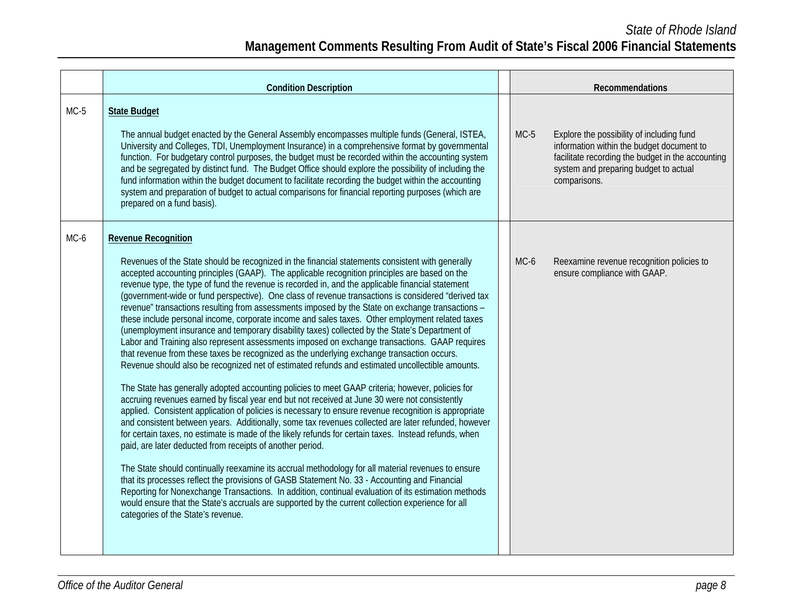|        | <b>Condition Description</b>                                                                                                                                                                                                                                                                                                                                                                                                                                                                                                                                                                                                                                                                                                                                                                                                                                                                                                                                                                                                                                                                                                                                                                                                                                                                                                                                                                                                                                                                                                                                                                                                                                                                                                                                                                                                                                                                                                                                                                                                                                                                               |        | Recommendations                                                                                                                                                                                      |
|--------|------------------------------------------------------------------------------------------------------------------------------------------------------------------------------------------------------------------------------------------------------------------------------------------------------------------------------------------------------------------------------------------------------------------------------------------------------------------------------------------------------------------------------------------------------------------------------------------------------------------------------------------------------------------------------------------------------------------------------------------------------------------------------------------------------------------------------------------------------------------------------------------------------------------------------------------------------------------------------------------------------------------------------------------------------------------------------------------------------------------------------------------------------------------------------------------------------------------------------------------------------------------------------------------------------------------------------------------------------------------------------------------------------------------------------------------------------------------------------------------------------------------------------------------------------------------------------------------------------------------------------------------------------------------------------------------------------------------------------------------------------------------------------------------------------------------------------------------------------------------------------------------------------------------------------------------------------------------------------------------------------------------------------------------------------------------------------------------------------------|--------|------------------------------------------------------------------------------------------------------------------------------------------------------------------------------------------------------|
| $MC-5$ | <b>State Budget</b><br>The annual budget enacted by the General Assembly encompasses multiple funds (General, ISTEA,<br>University and Colleges, TDI, Unemployment Insurance) in a comprehensive format by governmental<br>function. For budgetary control purposes, the budget must be recorded within the accounting system<br>and be segregated by distinct fund. The Budget Office should explore the possibility of including the<br>fund information within the budget document to facilitate recording the budget within the accounting<br>system and preparation of budget to actual comparisons for financial reporting purposes (which are<br>prepared on a fund basis).                                                                                                                                                                                                                                                                                                                                                                                                                                                                                                                                                                                                                                                                                                                                                                                                                                                                                                                                                                                                                                                                                                                                                                                                                                                                                                                                                                                                                         | $MC-5$ | Explore the possibility of including fund<br>information within the budget document to<br>facilitate recording the budget in the accounting<br>system and preparing budget to actual<br>comparisons. |
| MC-6   | <b>Revenue Recognition</b><br>Revenues of the State should be recognized in the financial statements consistent with generally<br>accepted accounting principles (GAAP). The applicable recognition principles are based on the<br>revenue type, the type of fund the revenue is recorded in, and the applicable financial statement<br>(government-wide or fund perspective). One class of revenue transactions is considered "derived tax<br>revenue" transactions resulting from assessments imposed by the State on exchange transactions -<br>these include personal income, corporate income and sales taxes. Other employment related taxes<br>(unemployment insurance and temporary disability taxes) collected by the State's Department of<br>Labor and Training also represent assessments imposed on exchange transactions. GAAP requires<br>that revenue from these taxes be recognized as the underlying exchange transaction occurs.<br>Revenue should also be recognized net of estimated refunds and estimated uncollectible amounts.<br>The State has generally adopted accounting policies to meet GAAP criteria; however, policies for<br>accruing revenues earned by fiscal year end but not received at June 30 were not consistently<br>applied. Consistent application of policies is necessary to ensure revenue recognition is appropriate<br>and consistent between years. Additionally, some tax revenues collected are later refunded, however<br>for certain taxes, no estimate is made of the likely refunds for certain taxes. Instead refunds, when<br>paid, are later deducted from receipts of another period.<br>The State should continually reexamine its accrual methodology for all material revenues to ensure<br>that its processes reflect the provisions of GASB Statement No. 33 - Accounting and Financial<br>Reporting for Nonexchange Transactions. In addition, continual evaluation of its estimation methods<br>would ensure that the State's accruals are supported by the current collection experience for all<br>categories of the State's revenue. | MC-6   | Reexamine revenue recognition policies to<br>ensure compliance with GAAP.                                                                                                                            |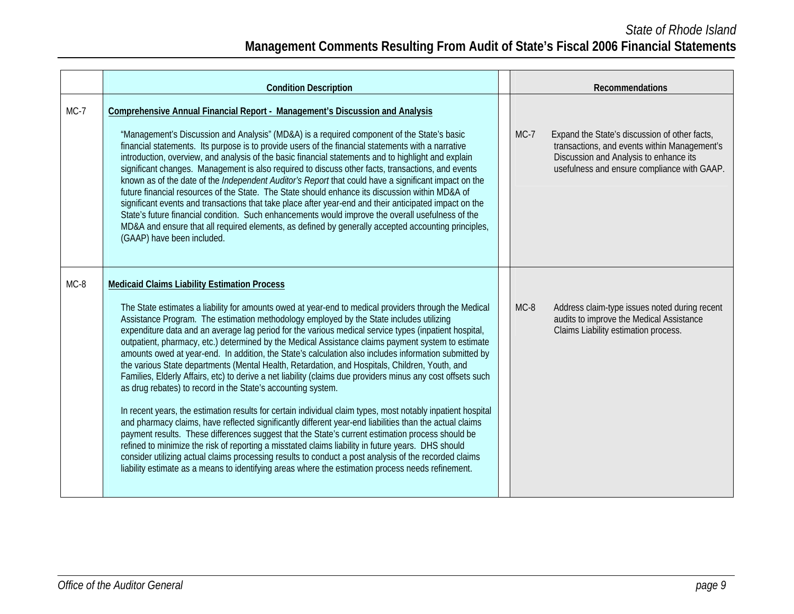|        | <b>Condition Description</b>                                                                                                                                                                                                                                                                                                                                                                                                                                                                                                                                                                                                                                                                                                                                                                                                                                                                                                                                                                                                                                                                                                                                                                                                                                                                                                                                                                                                                                                                                       |        | Recommendations                                                                                                                                                                        |
|--------|--------------------------------------------------------------------------------------------------------------------------------------------------------------------------------------------------------------------------------------------------------------------------------------------------------------------------------------------------------------------------------------------------------------------------------------------------------------------------------------------------------------------------------------------------------------------------------------------------------------------------------------------------------------------------------------------------------------------------------------------------------------------------------------------------------------------------------------------------------------------------------------------------------------------------------------------------------------------------------------------------------------------------------------------------------------------------------------------------------------------------------------------------------------------------------------------------------------------------------------------------------------------------------------------------------------------------------------------------------------------------------------------------------------------------------------------------------------------------------------------------------------------|--------|----------------------------------------------------------------------------------------------------------------------------------------------------------------------------------------|
| $MC-7$ | Comprehensive Annual Financial Report - Management's Discussion and Analysis<br>"Management's Discussion and Analysis" (MD&A) is a required component of the State's basic<br>financial statements. Its purpose is to provide users of the financial statements with a narrative<br>introduction, overview, and analysis of the basic financial statements and to highlight and explain<br>significant changes. Management is also required to discuss other facts, transactions, and events<br>known as of the date of the <i>Independent Auditor's Report</i> that could have a significant impact on the<br>future financial resources of the State. The State should enhance its discussion within MD&A of<br>significant events and transactions that take place after year-end and their anticipated impact on the<br>State's future financial condition. Such enhancements would improve the overall usefulness of the<br>MD&A and ensure that all required elements, as defined by generally accepted accounting principles,<br>(GAAP) have been included.                                                                                                                                                                                                                                                                                                                                                                                                                                                 | $MC-7$ | Expand the State's discussion of other facts,<br>transactions, and events within Management's<br>Discussion and Analysis to enhance its<br>usefulness and ensure compliance with GAAP. |
| $MC-8$ | <b>Medicaid Claims Liability Estimation Process</b><br>The State estimates a liability for amounts owed at year-end to medical providers through the Medical<br>Assistance Program. The estimation methodology employed by the State includes utilizing<br>expenditure data and an average lag period for the various medical service types (inpatient hospital,<br>outpatient, pharmacy, etc.) determined by the Medical Assistance claims payment system to estimate<br>amounts owed at year-end. In addition, the State's calculation also includes information submitted by<br>the various State departments (Mental Health, Retardation, and Hospitals, Children, Youth, and<br>Families, Elderly Affairs, etc) to derive a net liability (claims due providers minus any cost offsets such<br>as drug rebates) to record in the State's accounting system.<br>In recent years, the estimation results for certain individual claim types, most notably inpatient hospital<br>and pharmacy claims, have reflected significantly different year-end liabilities than the actual claims<br>payment results. These differences suggest that the State's current estimation process should be<br>refined to minimize the risk of reporting a misstated claims liability in future years. DHS should<br>consider utilizing actual claims processing results to conduct a post analysis of the recorded claims<br>liability estimate as a means to identifying areas where the estimation process needs refinement. | $MC-8$ | Address claim-type issues noted during recent<br>audits to improve the Medical Assistance<br>Claims Liability estimation process.                                                      |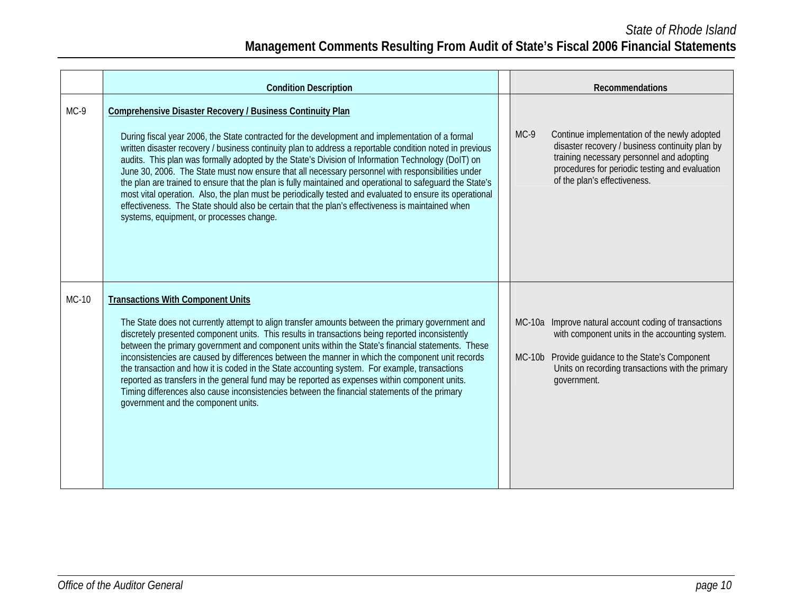|        | <b>Condition Description</b>                                                                                                                                                                                                                                                                                                                                                                                                                                                                                                                                                                                                                                                                                                                                                                                                                                   |          | Recommendations                                                                                                                                                                                                                |
|--------|----------------------------------------------------------------------------------------------------------------------------------------------------------------------------------------------------------------------------------------------------------------------------------------------------------------------------------------------------------------------------------------------------------------------------------------------------------------------------------------------------------------------------------------------------------------------------------------------------------------------------------------------------------------------------------------------------------------------------------------------------------------------------------------------------------------------------------------------------------------|----------|--------------------------------------------------------------------------------------------------------------------------------------------------------------------------------------------------------------------------------|
| $MC-9$ | Comprehensive Disaster Recovery / Business Continuity Plan<br>During fiscal year 2006, the State contracted for the development and implementation of a formal<br>written disaster recovery / business continuity plan to address a reportable condition noted in previous<br>audits. This plan was formally adopted by the State's Division of Information Technology (DoIT) on<br>June 30, 2006. The State must now ensure that all necessary personnel with responsibilities under<br>the plan are trained to ensure that the plan is fully maintained and operational to safeguard the State's<br>most vital operation. Also, the plan must be periodically tested and evaluated to ensure its operational<br>effectiveness. The State should also be certain that the plan's effectiveness is maintained when<br>systems, equipment, or processes change. | $MC-9$   | Continue implementation of the newly adopted<br>disaster recovery / business continuity plan by<br>training necessary personnel and adopting<br>procedures for periodic testing and evaluation<br>of the plan's effectiveness. |
| MC-10  | <b>Transactions With Component Units</b><br>The State does not currently attempt to align transfer amounts between the primary government and<br>discretely presented component units. This results in transactions being reported inconsistently<br>between the primary government and component units within the State's financial statements. These<br>inconsistencies are caused by differences between the manner in which the component unit records<br>the transaction and how it is coded in the State accounting system. For example, transactions<br>reported as transfers in the general fund may be reported as expenses within component units.<br>Timing differences also cause inconsistencies between the financial statements of the primary<br>government and the component units.                                                           | $MC-10b$ | MC-10a Improve natural account coding of transactions<br>with component units in the accounting system.<br>Provide guidance to the State's Component<br>Units on recording transactions with the primary<br>government.        |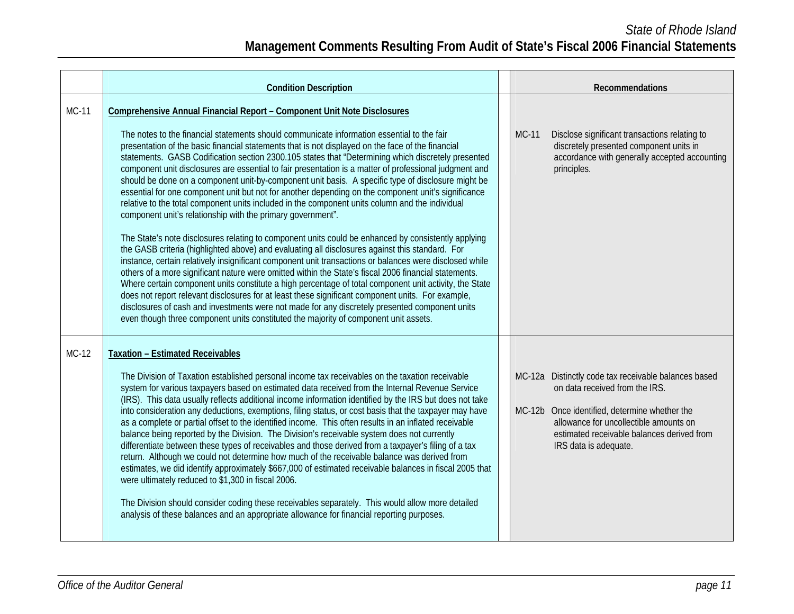|              | <b>Condition Description</b>                                                                                                                                                                                                                                                                                                                                                                                                                                                                                                                                                                                                                                                                                                                                                                                                                                                                                                                                                                                                                                                                                                                                                                                                                                                                                                                                                                                                                                                                                                                                                                                                                                                                                     |              | Recommendations                                                                                                                                                                                                                                   |
|--------------|------------------------------------------------------------------------------------------------------------------------------------------------------------------------------------------------------------------------------------------------------------------------------------------------------------------------------------------------------------------------------------------------------------------------------------------------------------------------------------------------------------------------------------------------------------------------------------------------------------------------------------------------------------------------------------------------------------------------------------------------------------------------------------------------------------------------------------------------------------------------------------------------------------------------------------------------------------------------------------------------------------------------------------------------------------------------------------------------------------------------------------------------------------------------------------------------------------------------------------------------------------------------------------------------------------------------------------------------------------------------------------------------------------------------------------------------------------------------------------------------------------------------------------------------------------------------------------------------------------------------------------------------------------------------------------------------------------------|--------------|---------------------------------------------------------------------------------------------------------------------------------------------------------------------------------------------------------------------------------------------------|
| <b>MC-11</b> | Comprehensive Annual Financial Report - Component Unit Note Disclosures<br>The notes to the financial statements should communicate information essential to the fair<br>presentation of the basic financial statements that is not displayed on the face of the financial<br>statements. GASB Codification section 2300.105 states that "Determining which discretely presented<br>component unit disclosures are essential to fair presentation is a matter of professional judgment and<br>should be done on a component unit-by-component unit basis. A specific type of disclosure might be<br>essential for one component unit but not for another depending on the component unit's significance<br>relative to the total component units included in the component units column and the individual<br>component unit's relationship with the primary government".<br>The State's note disclosures relating to component units could be enhanced by consistently applying<br>the GASB criteria (highlighted above) and evaluating all disclosures against this standard. For<br>instance, certain relatively insignificant component unit transactions or balances were disclosed while<br>others of a more significant nature were omitted within the State's fiscal 2006 financial statements.<br>Where certain component units constitute a high percentage of total component unit activity, the State<br>does not report relevant disclosures for at least these significant component units. For example,<br>disclosures of cash and investments were not made for any discretely presented component units<br>even though three component units constituted the majority of component unit assets. | <b>MC-11</b> | Disclose significant transactions relating to<br>discretely presented component units in<br>accordance with generally accepted accounting<br>principles.                                                                                          |
| MC-12        | <b>Taxation - Estimated Receivables</b><br>The Division of Taxation established personal income tax receivables on the taxation receivable<br>system for various taxpayers based on estimated data received from the Internal Revenue Service<br>(IRS). This data usually reflects additional income information identified by the IRS but does not take<br>into consideration any deductions, exemptions, filing status, or cost basis that the taxpayer may have<br>as a complete or partial offset to the identified income. This often results in an inflated receivable<br>balance being reported by the Division. The Division's receivable system does not currently<br>differentiate between these types of receivables and those derived from a taxpayer's filing of a tax<br>return. Although we could not determine how much of the receivable balance was derived from<br>estimates, we did identify approximately \$667,000 of estimated receivable balances in fiscal 2005 that<br>were ultimately reduced to \$1,300 in fiscal 2006.<br>The Division should consider coding these receivables separately. This would allow more detailed<br>analysis of these balances and an appropriate allowance for financial reporting purposes.                                                                                                                                                                                                                                                                                                                                                                                                                                                             | $MC-12b$     | MC-12a Distinctly code tax receivable balances based<br>on data received from the IRS.<br>Once identified, determine whether the<br>allowance for uncollectible amounts on<br>estimated receivable balances derived from<br>IRS data is adequate. |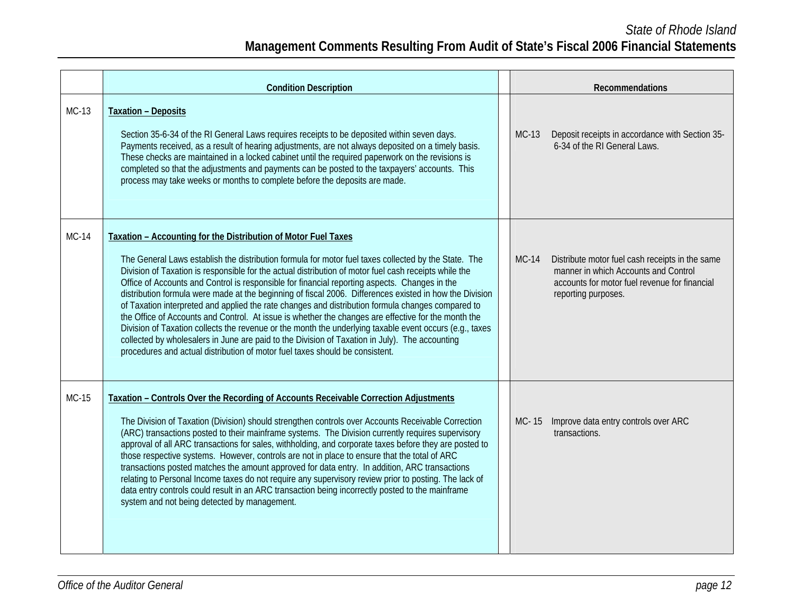|              | <b>Condition Description</b>                                                                                                                                                                                                                                                                                                                                                                                                                                                                                                                                                                                                                                                                                                                                                                                                                                                                                                                                                                         |              | Recommendations                                                                                                                                                 |
|--------------|------------------------------------------------------------------------------------------------------------------------------------------------------------------------------------------------------------------------------------------------------------------------------------------------------------------------------------------------------------------------------------------------------------------------------------------------------------------------------------------------------------------------------------------------------------------------------------------------------------------------------------------------------------------------------------------------------------------------------------------------------------------------------------------------------------------------------------------------------------------------------------------------------------------------------------------------------------------------------------------------------|--------------|-----------------------------------------------------------------------------------------------------------------------------------------------------------------|
| MC-13        | <b>Taxation - Deposits</b><br>Section 35-6-34 of the RI General Laws requires receipts to be deposited within seven days.<br>Payments received, as a result of hearing adjustments, are not always deposited on a timely basis.<br>These checks are maintained in a locked cabinet until the required paperwork on the revisions is<br>completed so that the adjustments and payments can be posted to the taxpayers' accounts. This<br>process may take weeks or months to complete before the deposits are made.                                                                                                                                                                                                                                                                                                                                                                                                                                                                                   | <b>MC-13</b> | Deposit receipts in accordance with Section 35-<br>6-34 of the RI General Laws.                                                                                 |
| <b>MC-14</b> | Taxation - Accounting for the Distribution of Motor Fuel Taxes<br>The General Laws establish the distribution formula for motor fuel taxes collected by the State. The<br>Division of Taxation is responsible for the actual distribution of motor fuel cash receipts while the<br>Office of Accounts and Control is responsible for financial reporting aspects. Changes in the<br>distribution formula were made at the beginning of fiscal 2006. Differences existed in how the Division<br>of Taxation interpreted and applied the rate changes and distribution formula changes compared to<br>the Office of Accounts and Control. At issue is whether the changes are effective for the month the<br>Division of Taxation collects the revenue or the month the underlying taxable event occurs (e.g., taxes<br>collected by wholesalers in June are paid to the Division of Taxation in July). The accounting<br>procedures and actual distribution of motor fuel taxes should be consistent. | $MC-14$      | Distribute motor fuel cash receipts in the same<br>manner in which Accounts and Control<br>accounts for motor fuel revenue for financial<br>reporting purposes. |
| MC-15        | Taxation - Controls Over the Recording of Accounts Receivable Correction Adjustments<br>The Division of Taxation (Division) should strengthen controls over Accounts Receivable Correction<br>(ARC) transactions posted to their mainframe systems. The Division currently requires supervisory<br>approval of all ARC transactions for sales, withholding, and corporate taxes before they are posted to<br>those respective systems. However, controls are not in place to ensure that the total of ARC<br>transactions posted matches the amount approved for data entry. In addition, ARC transactions<br>relating to Personal Income taxes do not require any supervisory review prior to posting. The lack of<br>data entry controls could result in an ARC transaction being incorrectly posted to the mainframe<br>system and not being detected by management.                                                                                                                              | MC-15        | Improve data entry controls over ARC<br>transactions.                                                                                                           |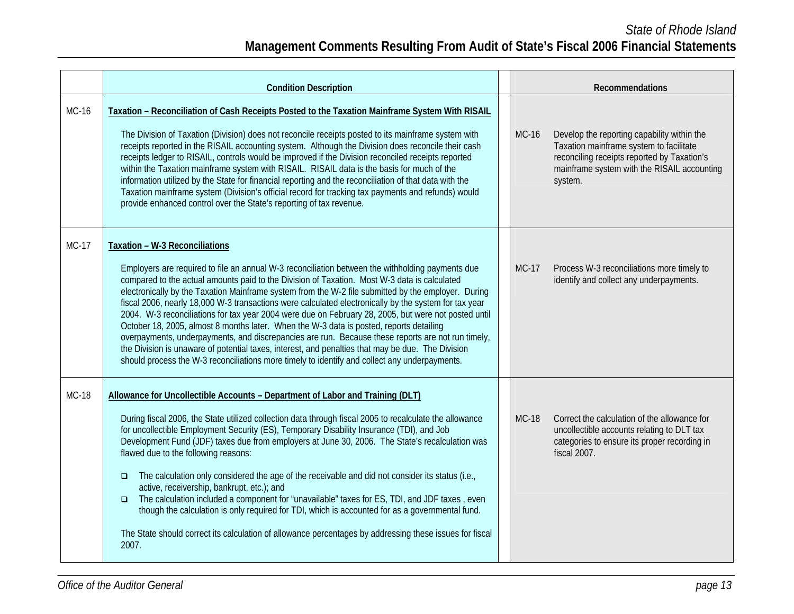|              | <b>Condition Description</b>                                                                                                                                                                                                                                                                                                                                                                                                                                                                                                                                                                                                                                                                                                                                                                                                                                                                                                                                     |              | Recommendations                                                                                                                                                                                 |
|--------------|------------------------------------------------------------------------------------------------------------------------------------------------------------------------------------------------------------------------------------------------------------------------------------------------------------------------------------------------------------------------------------------------------------------------------------------------------------------------------------------------------------------------------------------------------------------------------------------------------------------------------------------------------------------------------------------------------------------------------------------------------------------------------------------------------------------------------------------------------------------------------------------------------------------------------------------------------------------|--------------|-------------------------------------------------------------------------------------------------------------------------------------------------------------------------------------------------|
| MC-16        | Taxation - Reconciliation of Cash Receipts Posted to the Taxation Mainframe System With RISAIL<br>The Division of Taxation (Division) does not reconcile receipts posted to its mainframe system with<br>receipts reported in the RISAIL accounting system. Although the Division does reconcile their cash<br>receipts ledger to RISAIL, controls would be improved if the Division reconciled receipts reported<br>within the Taxation mainframe system with RISAIL. RISAIL data is the basis for much of the<br>information utilized by the State for financial reporting and the reconciliation of that data with the<br>Taxation mainframe system (Division's official record for tracking tax payments and refunds) would<br>provide enhanced control over the State's reporting of tax revenue.                                                                                                                                                           | <b>MC-16</b> | Develop the reporting capability within the<br>Taxation mainframe system to facilitate<br>reconciling receipts reported by Taxation's<br>mainframe system with the RISAIL accounting<br>system. |
| $MC-17$      | Taxation - W-3 Reconciliations<br>Employers are required to file an annual W-3 reconciliation between the withholding payments due<br>compared to the actual amounts paid to the Division of Taxation. Most W-3 data is calculated<br>electronically by the Taxation Mainframe system from the W-2 file submitted by the employer. During<br>fiscal 2006, nearly 18,000 W-3 transactions were calculated electronically by the system for tax year<br>2004. W-3 reconciliations for tax year 2004 were due on February 28, 2005, but were not posted until<br>October 18, 2005, almost 8 months later. When the W-3 data is posted, reports detailing<br>overpayments, underpayments, and discrepancies are run. Because these reports are not run timely,<br>the Division is unaware of potential taxes, interest, and penalties that may be due. The Division<br>should process the W-3 reconciliations more timely to identify and collect any underpayments. | MC-17        | Process W-3 reconciliations more timely to<br>identify and collect any underpayments.                                                                                                           |
| <b>MC-18</b> | Allowance for Uncollectible Accounts - Department of Labor and Training (DLT)<br>During fiscal 2006, the State utilized collection data through fiscal 2005 to recalculate the allowance<br>for uncollectible Employment Security (ES), Temporary Disability Insurance (TDI), and Job<br>Development Fund (JDF) taxes due from employers at June 30, 2006. The State's recalculation was<br>flawed due to the following reasons:<br>The calculation only considered the age of the receivable and did not consider its status (i.e.,<br>$\Box$<br>active, receivership, bankrupt, etc.); and<br>The calculation included a component for "unavailable" taxes for ES, TDI, and JDF taxes, even<br>$\Box$<br>though the calculation is only required for TDI, which is accounted for as a governmental fund.<br>The State should correct its calculation of allowance percentages by addressing these issues for fiscal<br>2007.                                   | <b>MC-18</b> | Correct the calculation of the allowance for<br>uncollectible accounts relating to DLT tax<br>categories to ensure its proper recording in<br>fiscal 2007.                                      |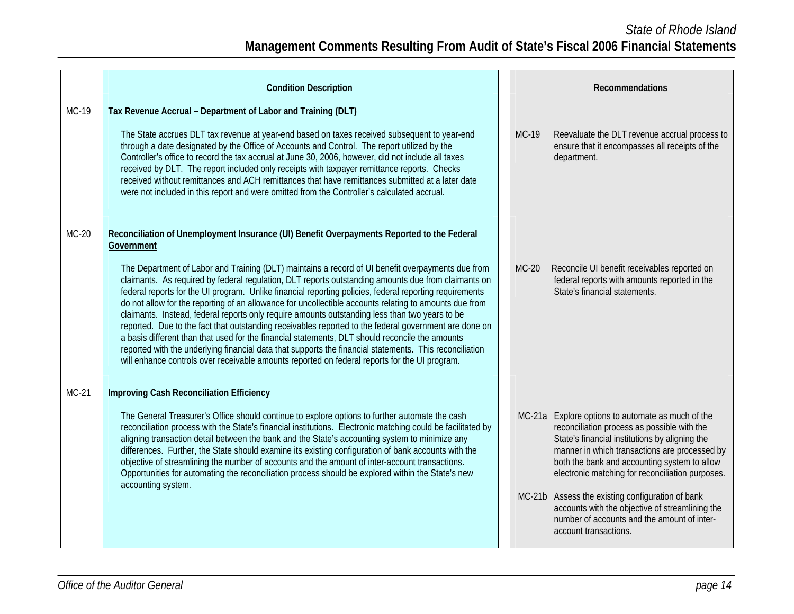|         | <b>Condition Description</b>                                                                                                                                                                                                                                                                                                                                                                                                                                                                                                                                                                                                                                                                                                                                                                                                                                                                                                                                                                                                                                        |              | Recommendations                                                                                                                                                                                                                                                                                                                                                                                                                                                                        |
|---------|---------------------------------------------------------------------------------------------------------------------------------------------------------------------------------------------------------------------------------------------------------------------------------------------------------------------------------------------------------------------------------------------------------------------------------------------------------------------------------------------------------------------------------------------------------------------------------------------------------------------------------------------------------------------------------------------------------------------------------------------------------------------------------------------------------------------------------------------------------------------------------------------------------------------------------------------------------------------------------------------------------------------------------------------------------------------|--------------|----------------------------------------------------------------------------------------------------------------------------------------------------------------------------------------------------------------------------------------------------------------------------------------------------------------------------------------------------------------------------------------------------------------------------------------------------------------------------------------|
| MC-19   | Tax Revenue Accrual - Department of Labor and Training (DLT)<br>The State accrues DLT tax revenue at year-end based on taxes received subsequent to year-end<br>through a date designated by the Office of Accounts and Control. The report utilized by the<br>Controller's office to record the tax accrual at June 30, 2006, however, did not include all taxes<br>received by DLT. The report included only receipts with taxpayer remittance reports. Checks<br>received without remittances and ACH remittances that have remittances submitted at a later date<br>were not included in this report and were omitted from the Controller's calculated accrual.                                                                                                                                                                                                                                                                                                                                                                                                 | MC-19        | Reevaluate the DLT revenue accrual process to<br>ensure that it encompasses all receipts of the<br>department.                                                                                                                                                                                                                                                                                                                                                                         |
| $MC-20$ | Reconciliation of Unemployment Insurance (UI) Benefit Overpayments Reported to the Federal<br>Government<br>The Department of Labor and Training (DLT) maintains a record of UI benefit overpayments due from<br>claimants. As required by federal regulation, DLT reports outstanding amounts due from claimants on<br>federal reports for the UI program. Unlike financial reporting policies, federal reporting requirements<br>do not allow for the reporting of an allowance for uncollectible accounts relating to amounts due from<br>claimants. Instead, federal reports only require amounts outstanding less than two years to be<br>reported. Due to the fact that outstanding receivables reported to the federal government are done on<br>a basis different than that used for the financial statements, DLT should reconcile the amounts<br>reported with the underlying financial data that supports the financial statements. This reconciliation<br>will enhance controls over receivable amounts reported on federal reports for the UI program. | <b>MC-20</b> | Reconcile UI benefit receivables reported on<br>federal reports with amounts reported in the<br>State's financial statements.                                                                                                                                                                                                                                                                                                                                                          |
| MC-21   | <b>Improving Cash Reconciliation Efficiency</b><br>The General Treasurer's Office should continue to explore options to further automate the cash<br>reconciliation process with the State's financial institutions. Electronic matching could be facilitated by<br>aligning transaction detail between the bank and the State's accounting system to minimize any<br>differences. Further, the State should examine its existing configuration of bank accounts with the<br>objective of streamlining the number of accounts and the amount of inter-account transactions.<br>Opportunities for automating the reconciliation process should be explored within the State's new<br>accounting system.                                                                                                                                                                                                                                                                                                                                                              |              | MC-21a Explore options to automate as much of the<br>reconciliation process as possible with the<br>State's financial institutions by aligning the<br>manner in which transactions are processed by<br>both the bank and accounting system to allow<br>electronic matching for reconciliation purposes.<br>MC-21b Assess the existing configuration of bank<br>accounts with the objective of streamlining the<br>number of accounts and the amount of inter-<br>account transactions. |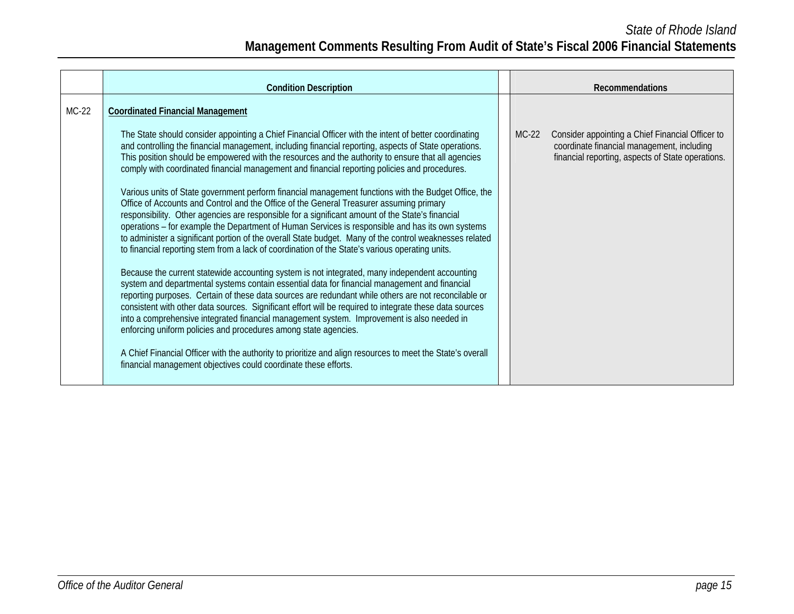|         | <b>Condition Description</b>                                                                                                                                                                                                                                                                                                                                                                                                                                                                                                                                                                                                                                                                                                                                                                                                                                                                                                                                                                                                                                                                                                                                                                                                                                                                                                                                                                                                                                                                                                                                                                                                                                                                                                                                                                                           |         | <b>Recommendations</b>                                                                                                                              |
|---------|------------------------------------------------------------------------------------------------------------------------------------------------------------------------------------------------------------------------------------------------------------------------------------------------------------------------------------------------------------------------------------------------------------------------------------------------------------------------------------------------------------------------------------------------------------------------------------------------------------------------------------------------------------------------------------------------------------------------------------------------------------------------------------------------------------------------------------------------------------------------------------------------------------------------------------------------------------------------------------------------------------------------------------------------------------------------------------------------------------------------------------------------------------------------------------------------------------------------------------------------------------------------------------------------------------------------------------------------------------------------------------------------------------------------------------------------------------------------------------------------------------------------------------------------------------------------------------------------------------------------------------------------------------------------------------------------------------------------------------------------------------------------------------------------------------------------|---------|-----------------------------------------------------------------------------------------------------------------------------------------------------|
| $MC-22$ | <b>Coordinated Financial Management</b>                                                                                                                                                                                                                                                                                                                                                                                                                                                                                                                                                                                                                                                                                                                                                                                                                                                                                                                                                                                                                                                                                                                                                                                                                                                                                                                                                                                                                                                                                                                                                                                                                                                                                                                                                                                |         |                                                                                                                                                     |
|         | The State should consider appointing a Chief Financial Officer with the intent of better coordinating<br>and controlling the financial management, including financial reporting, aspects of State operations.<br>This position should be empowered with the resources and the authority to ensure that all agencies<br>comply with coordinated financial management and financial reporting policies and procedures.<br>Various units of State government perform financial management functions with the Budget Office, the<br>Office of Accounts and Control and the Office of the General Treasurer assuming primary<br>responsibility. Other agencies are responsible for a significant amount of the State's financial<br>operations - for example the Department of Human Services is responsible and has its own systems<br>to administer a significant portion of the overall State budget. Many of the control weaknesses related<br>to financial reporting stem from a lack of coordination of the State's various operating units.<br>Because the current statewide accounting system is not integrated, many independent accounting<br>system and departmental systems contain essential data for financial management and financial<br>reporting purposes. Certain of these data sources are redundant while others are not reconcilable or<br>consistent with other data sources. Significant effort will be required to integrate these data sources<br>into a comprehensive integrated financial management system. Improvement is also needed in<br>enforcing uniform policies and procedures among state agencies.<br>A Chief Financial Officer with the authority to prioritize and align resources to meet the State's overall<br>financial management objectives could coordinate these efforts. | $MC-22$ | Consider appointing a Chief Financial Officer to<br>coordinate financial management, including<br>financial reporting, aspects of State operations. |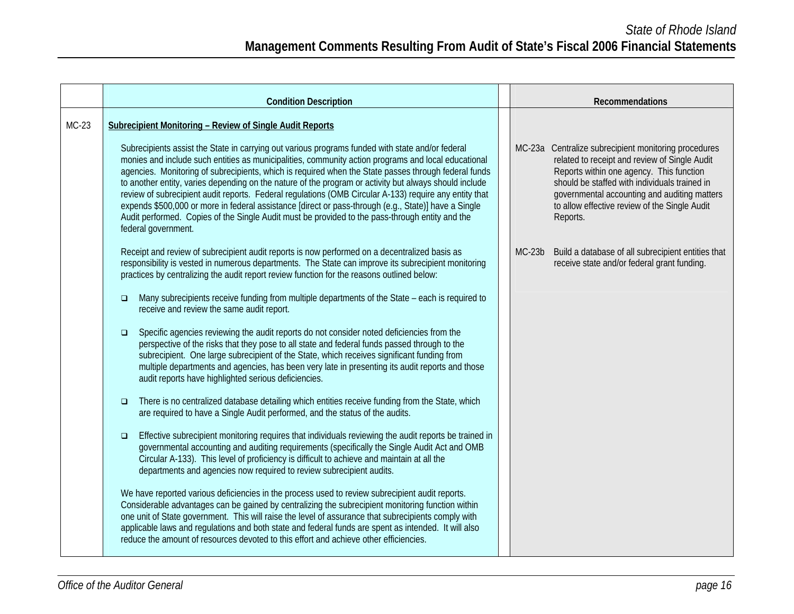|         | <b>Condition Description</b>                                                                                                                                                                                                                                                                                                                                                                                                                                                                                                                                                                                                                                                                                                                                                                                                                                                                                                                                                                                                                                                                                                                                                                                                                                                                                                                                                                                                                                                                                                                                                                                                                                                                                                                                                                                                                                                                                                                                                                                                       |          | Recommendations                                                                                                                                                                                                                                                                                                 |
|---------|------------------------------------------------------------------------------------------------------------------------------------------------------------------------------------------------------------------------------------------------------------------------------------------------------------------------------------------------------------------------------------------------------------------------------------------------------------------------------------------------------------------------------------------------------------------------------------------------------------------------------------------------------------------------------------------------------------------------------------------------------------------------------------------------------------------------------------------------------------------------------------------------------------------------------------------------------------------------------------------------------------------------------------------------------------------------------------------------------------------------------------------------------------------------------------------------------------------------------------------------------------------------------------------------------------------------------------------------------------------------------------------------------------------------------------------------------------------------------------------------------------------------------------------------------------------------------------------------------------------------------------------------------------------------------------------------------------------------------------------------------------------------------------------------------------------------------------------------------------------------------------------------------------------------------------------------------------------------------------------------------------------------------------|----------|-----------------------------------------------------------------------------------------------------------------------------------------------------------------------------------------------------------------------------------------------------------------------------------------------------------------|
| $MC-23$ | Subrecipient Monitoring - Review of Single Audit Reports<br>Subrecipients assist the State in carrying out various programs funded with state and/or federal<br>monies and include such entities as municipalities, community action programs and local educational<br>agencies. Monitoring of subrecipients, which is required when the State passes through federal funds<br>to another entity, varies depending on the nature of the program or activity but always should include<br>review of subrecipient audit reports. Federal regulations (OMB Circular A-133) require any entity that<br>expends \$500,000 or more in federal assistance [direct or pass-through (e.g., State)] have a Single<br>Audit performed. Copies of the Single Audit must be provided to the pass-through entity and the<br>federal government.                                                                                                                                                                                                                                                                                                                                                                                                                                                                                                                                                                                                                                                                                                                                                                                                                                                                                                                                                                                                                                                                                                                                                                                                  |          | MC-23a Centralize subrecipient monitoring procedures<br>related to receipt and review of Single Audit<br>Reports within one agency. This function<br>should be staffed with individuals trained in<br>governmental accounting and auditing matters<br>to allow effective review of the Single Audit<br>Reports. |
|         | Receipt and review of subrecipient audit reports is now performed on a decentralized basis as<br>responsibility is vested in numerous departments. The State can improve its subrecipient monitoring<br>practices by centralizing the audit report review function for the reasons outlined below:<br>Many subrecipients receive funding from multiple departments of the State – each is required to<br>$\Box$<br>receive and review the same audit report.<br>Specific agencies reviewing the audit reports do not consider noted deficiencies from the<br>$\Box$<br>perspective of the risks that they pose to all state and federal funds passed through to the<br>subrecipient. One large subrecipient of the State, which receives significant funding from<br>multiple departments and agencies, has been very late in presenting its audit reports and those<br>audit reports have highlighted serious deficiencies.<br>There is no centralized database detailing which entities receive funding from the State, which<br>$\Box$<br>are required to have a Single Audit performed, and the status of the audits.<br>Effective subrecipient monitoring requires that individuals reviewing the audit reports be trained in<br>$\Box$<br>governmental accounting and auditing requirements (specifically the Single Audit Act and OMB<br>Circular A-133). This level of proficiency is difficult to achieve and maintain at all the<br>departments and agencies now required to review subrecipient audits.<br>We have reported various deficiencies in the process used to review subrecipient audit reports.<br>Considerable advantages can be gained by centralizing the subrecipient monitoring function within<br>one unit of State government. This will raise the level of assurance that subrecipients comply with<br>applicable laws and regulations and both state and federal funds are spent as intended. It will also<br>reduce the amount of resources devoted to this effort and achieve other efficiencies. | $MC-23b$ | Build a database of all subrecipient entities that<br>receive state and/or federal grant funding.                                                                                                                                                                                                               |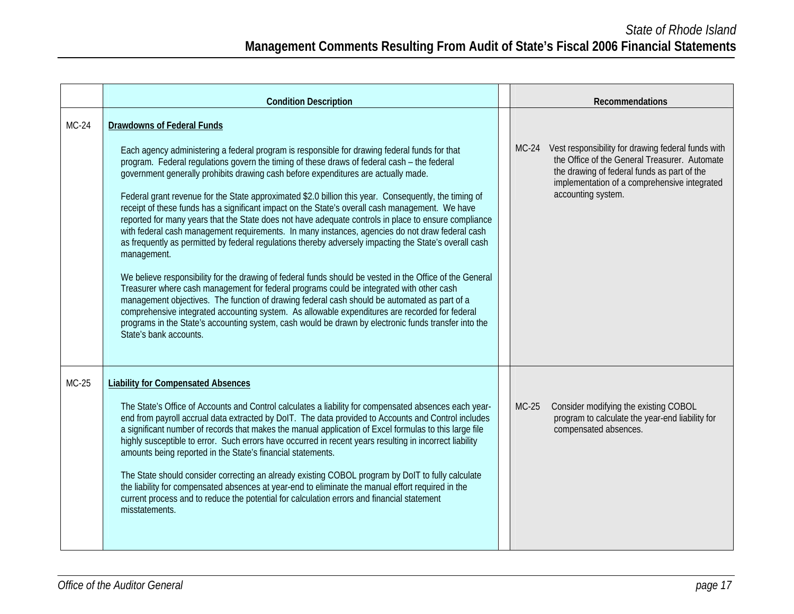|         | <b>Condition Description</b>                                                                                                                                                                                                                                                                                                                                                                                                                                                                                                                                                                                                                                                                                                                                                                                                                                                                                                                                                                                                                                                                                                                                                                                                                                                                                                                                                                                        |         | <b>Recommendations</b>                                                                                                                                                                                                   |
|---------|---------------------------------------------------------------------------------------------------------------------------------------------------------------------------------------------------------------------------------------------------------------------------------------------------------------------------------------------------------------------------------------------------------------------------------------------------------------------------------------------------------------------------------------------------------------------------------------------------------------------------------------------------------------------------------------------------------------------------------------------------------------------------------------------------------------------------------------------------------------------------------------------------------------------------------------------------------------------------------------------------------------------------------------------------------------------------------------------------------------------------------------------------------------------------------------------------------------------------------------------------------------------------------------------------------------------------------------------------------------------------------------------------------------------|---------|--------------------------------------------------------------------------------------------------------------------------------------------------------------------------------------------------------------------------|
| $MC-24$ | <b>Drawdowns of Federal Funds</b><br>Each agency administering a federal program is responsible for drawing federal funds for that<br>program. Federal regulations govern the timing of these draws of federal cash - the federal<br>government generally prohibits drawing cash before expenditures are actually made.<br>Federal grant revenue for the State approximated \$2.0 billion this year. Consequently, the timing of<br>receipt of these funds has a significant impact on the State's overall cash management. We have<br>reported for many years that the State does not have adequate controls in place to ensure compliance<br>with federal cash management requirements. In many instances, agencies do not draw federal cash<br>as frequently as permitted by federal regulations thereby adversely impacting the State's overall cash<br>management.<br>We believe responsibility for the drawing of federal funds should be vested in the Office of the General<br>Treasurer where cash management for federal programs could be integrated with other cash<br>management objectives. The function of drawing federal cash should be automated as part of a<br>comprehensive integrated accounting system. As allowable expenditures are recorded for federal<br>programs in the State's accounting system, cash would be drawn by electronic funds transfer into the<br>State's bank accounts. | $MC-24$ | Vest responsibility for drawing federal funds with<br>the Office of the General Treasurer. Automate<br>the drawing of federal funds as part of the<br>implementation of a comprehensive integrated<br>accounting system. |
| $MC-25$ | <b>Liability for Compensated Absences</b><br>The State's Office of Accounts and Control calculates a liability for compensated absences each year-<br>end from payroll accrual data extracted by DoIT. The data provided to Accounts and Control includes<br>a significant number of records that makes the manual application of Excel formulas to this large file<br>highly susceptible to error. Such errors have occurred in recent years resulting in incorrect liability<br>amounts being reported in the State's financial statements.<br>The State should consider correcting an already existing COBOL program by DoIT to fully calculate<br>the liability for compensated absences at year-end to eliminate the manual effort required in the<br>current process and to reduce the potential for calculation errors and financial statement<br>misstatements.                                                                                                                                                                                                                                                                                                                                                                                                                                                                                                                                             | $MC-25$ | Consider modifying the existing COBOL<br>program to calculate the year-end liability for<br>compensated absences.                                                                                                        |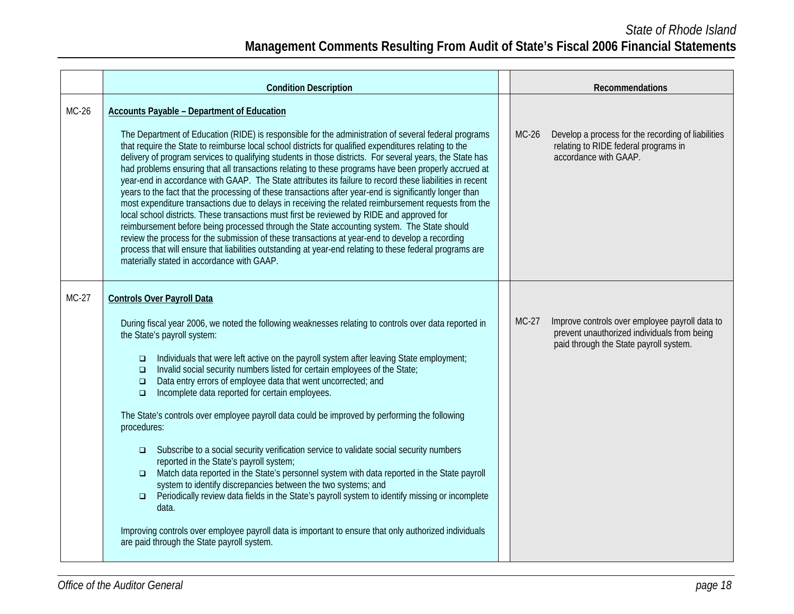|         | <b>Condition Description</b>                                                                                                                                                                                                                                                                                                                                                                                                                                                                                                                                                                                                                                                                                                                                                                                                                                                                                                                                                                                                                                                                                                                                                                                                                                                  |         | <b>Recommendations</b>                                                                                                                  |
|---------|-------------------------------------------------------------------------------------------------------------------------------------------------------------------------------------------------------------------------------------------------------------------------------------------------------------------------------------------------------------------------------------------------------------------------------------------------------------------------------------------------------------------------------------------------------------------------------------------------------------------------------------------------------------------------------------------------------------------------------------------------------------------------------------------------------------------------------------------------------------------------------------------------------------------------------------------------------------------------------------------------------------------------------------------------------------------------------------------------------------------------------------------------------------------------------------------------------------------------------------------------------------------------------|---------|-----------------------------------------------------------------------------------------------------------------------------------------|
| MC-26   | <b>Accounts Payable - Department of Education</b><br>The Department of Education (RIDE) is responsible for the administration of several federal programs<br>that require the State to reimburse local school districts for qualified expenditures relating to the<br>delivery of program services to qualifying students in those districts. For several years, the State has<br>had problems ensuring that all transactions relating to these programs have been properly accrued at<br>year-end in accordance with GAAP. The State attributes its failure to record these liabilities in recent<br>years to the fact that the processing of these transactions after year-end is significantly longer than<br>most expenditure transactions due to delays in receiving the related reimbursement requests from the<br>local school districts. These transactions must first be reviewed by RIDE and approved for<br>reimbursement before being processed through the State accounting system. The State should<br>review the process for the submission of these transactions at year-end to develop a recording<br>process that will ensure that liabilities outstanding at year-end relating to these federal programs are<br>materially stated in accordance with GAAP. | $MC-26$ | Develop a process for the recording of liabilities<br>relating to RIDE federal programs in<br>accordance with GAAP.                     |
| $MC-27$ | <b>Controls Over Payroll Data</b><br>During fiscal year 2006, we noted the following weaknesses relating to controls over data reported in<br>the State's payroll system:<br>Individuals that were left active on the payroll system after leaving State employment;<br>$\Box$<br>Invalid social security numbers listed for certain employees of the State;<br>$\Box$<br>Data entry errors of employee data that went uncorrected; and<br>$\Box$<br>Incomplete data reported for certain employees.<br>$\Box$<br>The State's controls over employee payroll data could be improved by performing the following<br>procedures:<br>Subscribe to a social security verification service to validate social security numbers<br>$\Box$<br>reported in the State's payroll system;<br>Match data reported in the State's personnel system with data reported in the State payroll<br>$\Box$<br>system to identify discrepancies between the two systems; and<br>Periodically review data fields in the State's payroll system to identify missing or incomplete<br>$\Box$<br>data.<br>Improving controls over employee payroll data is important to ensure that only authorized individuals<br>are paid through the State payroll system.                                         | $MC-27$ | Improve controls over employee payroll data to<br>prevent unauthorized individuals from being<br>paid through the State payroll system. |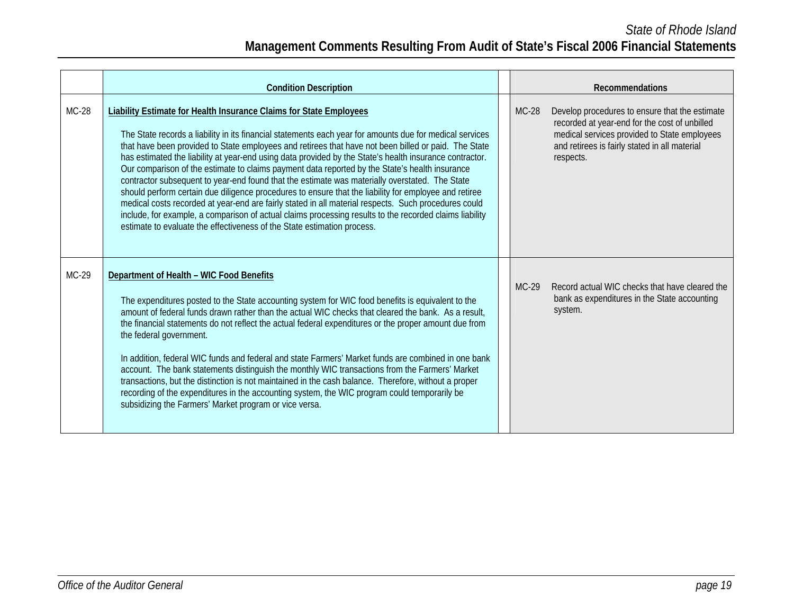## *State of Rhode Island*  **Management Comments Resulting From Audit of State's Fiscal 2006 Financial Statements**

|         | <b>Condition Description</b>                                                                                                                                                                                                                                                                                                                                                                                                                                                                                                                                                                                                                                                                                                                                                                                                                                                                                                                                                                                        |         | <b>Recommendations</b>                                                                                                                                                                                        |
|---------|---------------------------------------------------------------------------------------------------------------------------------------------------------------------------------------------------------------------------------------------------------------------------------------------------------------------------------------------------------------------------------------------------------------------------------------------------------------------------------------------------------------------------------------------------------------------------------------------------------------------------------------------------------------------------------------------------------------------------------------------------------------------------------------------------------------------------------------------------------------------------------------------------------------------------------------------------------------------------------------------------------------------|---------|---------------------------------------------------------------------------------------------------------------------------------------------------------------------------------------------------------------|
| $MC-28$ | <b>Liability Estimate for Health Insurance Claims for State Employees</b><br>The State records a liability in its financial statements each year for amounts due for medical services<br>that have been provided to State employees and retirees that have not been billed or paid. The State<br>has estimated the liability at year-end using data provided by the State's health insurance contractor.<br>Our comparison of the estimate to claims payment data reported by the State's health insurance<br>contractor subsequent to year-end found that the estimate was materially overstated. The State<br>should perform certain due diligence procedures to ensure that the liability for employee and retiree<br>medical costs recorded at year-end are fairly stated in all material respects. Such procedures could<br>include, for example, a comparison of actual claims processing results to the recorded claims liability<br>estimate to evaluate the effectiveness of the State estimation process. | $MC-28$ | Develop procedures to ensure that the estimate<br>recorded at year-end for the cost of unbilled<br>medical services provided to State employees<br>and retirees is fairly stated in all material<br>respects. |
| MC-29   | Department of Health - WIC Food Benefits<br>The expenditures posted to the State accounting system for WIC food benefits is equivalent to the<br>amount of federal funds drawn rather than the actual WIC checks that cleared the bank. As a result,<br>the financial statements do not reflect the actual federal expenditures or the proper amount due from<br>the federal government.<br>In addition, federal WIC funds and federal and state Farmers' Market funds are combined in one bank<br>account. The bank statements distinguish the monthly WIC transactions from the Farmers' Market<br>transactions, but the distinction is not maintained in the cash balance. Therefore, without a proper<br>recording of the expenditures in the accounting system, the WIC program could temporarily be<br>subsidizing the Farmers' Market program or vice versa.                                                                                                                                                 | $MC-29$ | Record actual WIC checks that have cleared the<br>bank as expenditures in the State accounting<br>system.                                                                                                     |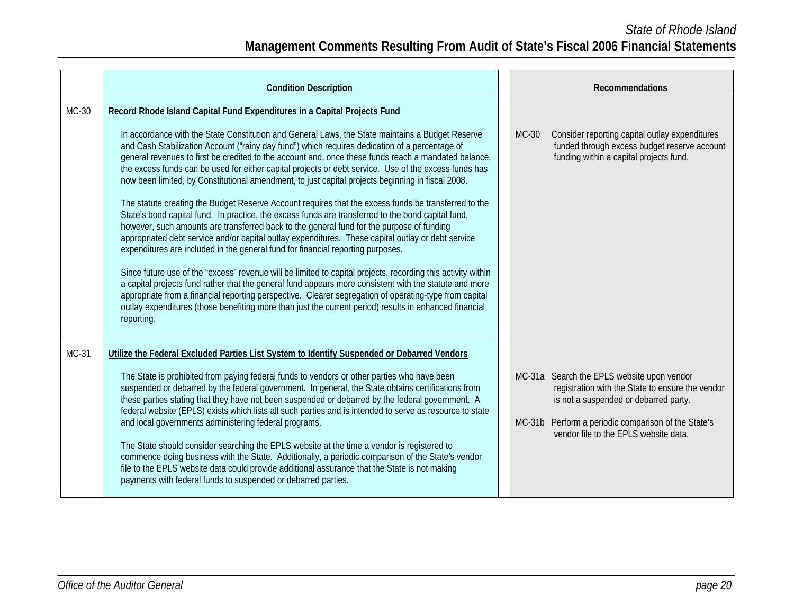|         | <b>Condition Description</b>                                                                                                                                                                                                                                                                                                                                                                                                                                                                                                                                                                                                                                                                                                                                                                                                                                                                                                                                                                                                                                                                                                                                                                                                                                                                                                                                                                                                                                                                                                                                         | Recommendations                                                                                                                                                                                                                              |
|---------|----------------------------------------------------------------------------------------------------------------------------------------------------------------------------------------------------------------------------------------------------------------------------------------------------------------------------------------------------------------------------------------------------------------------------------------------------------------------------------------------------------------------------------------------------------------------------------------------------------------------------------------------------------------------------------------------------------------------------------------------------------------------------------------------------------------------------------------------------------------------------------------------------------------------------------------------------------------------------------------------------------------------------------------------------------------------------------------------------------------------------------------------------------------------------------------------------------------------------------------------------------------------------------------------------------------------------------------------------------------------------------------------------------------------------------------------------------------------------------------------------------------------------------------------------------------------|----------------------------------------------------------------------------------------------------------------------------------------------------------------------------------------------------------------------------------------------|
| $MC-30$ | Record Rhode Island Capital Fund Expenditures in a Capital Projects Fund<br>In accordance with the State Constitution and General Laws, the State maintains a Budget Reserve<br>and Cash Stabilization Account ("rainy day fund") which requires dedication of a percentage of<br>general revenues to first be credited to the account and, once these funds reach a mandated balance,<br>the excess funds can be used for either capital projects or debt service. Use of the excess funds has<br>now been limited, by Constitutional amendment, to just capital projects beginning in fiscal 2008.<br>The statute creating the Budget Reserve Account requires that the excess funds be transferred to the<br>State's bond capital fund. In practice, the excess funds are transferred to the bond capital fund,<br>however, such amounts are transferred back to the general fund for the purpose of funding<br>appropriated debt service and/or capital outlay expenditures. These capital outlay or debt service<br>expenditures are included in the general fund for financial reporting purposes.<br>Since future use of the "excess" revenue will be limited to capital projects, recording this activity within<br>a capital projects fund rather that the general fund appears more consistent with the statute and more<br>appropriate from a financial reporting perspective. Clearer segregation of operating-type from capital<br>outlay expenditures (those benefiting more than just the current period) results in enhanced financial<br>reporting. | Consider reporting capital outlay expenditures<br>MC-30<br>funded through excess budget reserve account<br>funding within a capital projects fund.                                                                                           |
| $MC-31$ | Utilize the Federal Excluded Parties List System to Identify Suspended or Debarred Vendors<br>The State is prohibited from paying federal funds to vendors or other parties who have been<br>suspended or debarred by the federal government. In general, the State obtains certifications from<br>these parties stating that they have not been suspended or debarred by the federal government. A<br>federal website (EPLS) exists which lists all such parties and is intended to serve as resource to state<br>and local governments administering federal programs.<br>The State should consider searching the EPLS website at the time a vendor is registered to<br>commence doing business with the State. Additionally, a periodic comparison of the State's vendor<br>file to the EPLS website data could provide additional assurance that the State is not making<br>payments with federal funds to suspended or debarred parties.                                                                                                                                                                                                                                                                                                                                                                                                                                                                                                                                                                                                                        | MC-31a Search the EPLS website upon vendor<br>registration with the State to ensure the vendor<br>is not a suspended or debarred party.<br>Perform a periodic comparison of the State's<br>$MC-31b$<br>vendor file to the EPLS website data. |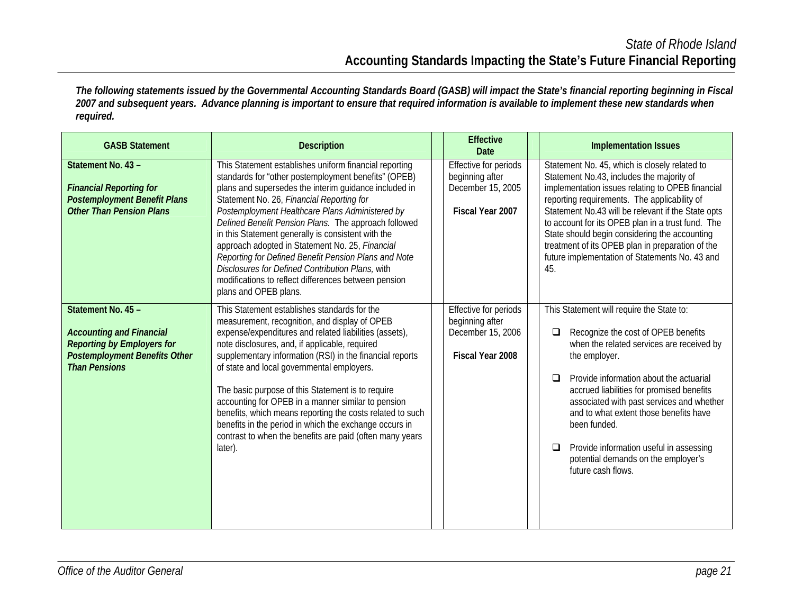*The following statements issued by the Governmental Accounting Standards Board (GASB) will impact the State's financial reporting beginning in Fiscal 2007 and subsequent years. Advance planning is important to ensure that required information is available to implement these new standards when required.* 

| <b>GASB Statement</b>                                                                                                                                      | <b>Description</b>                                                                                                                                                                                                                                                                                                                                                                                                                                                                                                                                                                                                                    | <b>Effective</b><br>Date                                                          | <b>Implementation Issues</b>                                                                                                                                                                                                                                                                                                                                                                                                                                                   |  |  |  |
|------------------------------------------------------------------------------------------------------------------------------------------------------------|---------------------------------------------------------------------------------------------------------------------------------------------------------------------------------------------------------------------------------------------------------------------------------------------------------------------------------------------------------------------------------------------------------------------------------------------------------------------------------------------------------------------------------------------------------------------------------------------------------------------------------------|-----------------------------------------------------------------------------------|--------------------------------------------------------------------------------------------------------------------------------------------------------------------------------------------------------------------------------------------------------------------------------------------------------------------------------------------------------------------------------------------------------------------------------------------------------------------------------|--|--|--|
| Statement No. 43 -<br><b>Financial Reporting for</b><br><b>Postemployment Benefit Plans</b><br><b>Other Than Pension Plans</b>                             | This Statement establishes uniform financial reporting<br>standards for "other postemployment benefits" (OPEB)<br>plans and supersedes the interim guidance included in<br>Statement No. 26, Financial Reporting for<br>Postemployment Healthcare Plans Administered by<br>Defined Benefit Pension Plans. The approach followed<br>in this Statement generally is consistent with the<br>approach adopted in Statement No. 25, Financial<br>Reporting for Defined Benefit Pension Plans and Note<br>Disclosures for Defined Contribution Plans, with<br>modifications to reflect differences between pension<br>plans and OPEB plans. | Effective for periods<br>beginning after<br>December 15, 2005<br>Fiscal Year 2007 | Statement No. 45, which is closely related to<br>Statement No.43, includes the majority of<br>implementation issues relating to OPEB financial<br>reporting requirements. The applicability of<br>Statement No.43 will be relevant if the State opts<br>to account for its OPEB plan in a trust fund. The<br>State should begin considering the accounting<br>treatment of its OPEB plan in preparation of the<br>future implementation of Statements No. 43 and<br>45.        |  |  |  |
| Statement No. 45 -<br><b>Accounting and Financial</b><br><b>Reporting by Employers for</b><br><b>Postemployment Benefits Other</b><br><b>Than Pensions</b> | This Statement establishes standards for the<br>measurement, recognition, and display of OPEB<br>expense/expenditures and related liabilities (assets),<br>note disclosures, and, if applicable, required<br>supplementary information (RSI) in the financial reports<br>of state and local governmental employers.<br>The basic purpose of this Statement is to require<br>accounting for OPEB in a manner similar to pension<br>benefits, which means reporting the costs related to such<br>benefits in the period in which the exchange occurs in<br>contrast to when the benefits are paid (often many years<br>later).          | Effective for periods<br>beginning after<br>December 15, 2006<br>Fiscal Year 2008 | This Statement will require the State to:<br>Recognize the cost of OPEB benefits<br>$\Box$<br>when the related services are received by<br>the employer.<br>Provide information about the actuarial<br>$\Box$<br>accrued liabilities for promised benefits<br>associated with past services and whether<br>and to what extent those benefits have<br>been funded.<br>Provide information useful in assessing<br>□<br>potential demands on the employer's<br>future cash flows. |  |  |  |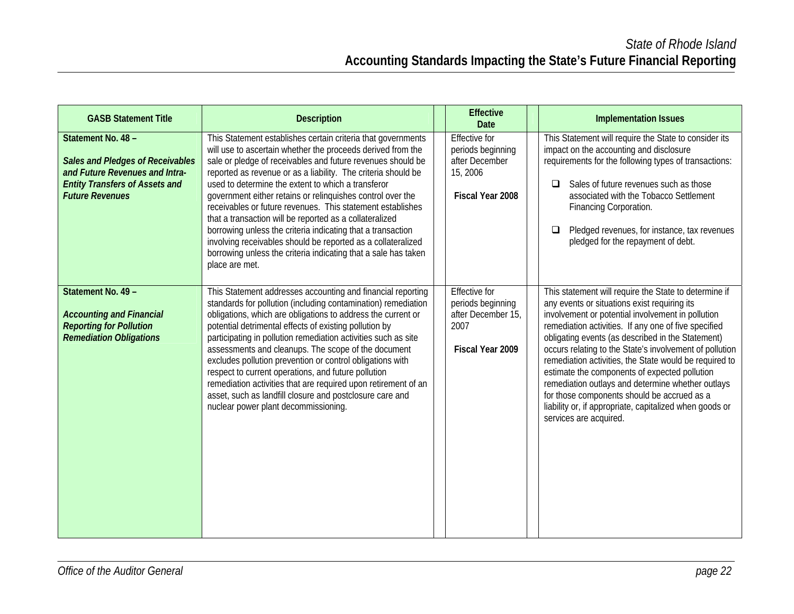| <b>GASB Statement Title</b>                                                                                                                                        | <b>Description</b>                                                                                                                                                                                                                                                                                                                                                                                                                                                                                                                                                                                                                                                                                                          | <b>Effective</b><br><b>Date</b>                                                             | <b>Implementation Issues</b>                                                                                                                                                                                                                                                                                                                                                                                                                                                                                                                                                                                                           |
|--------------------------------------------------------------------------------------------------------------------------------------------------------------------|-----------------------------------------------------------------------------------------------------------------------------------------------------------------------------------------------------------------------------------------------------------------------------------------------------------------------------------------------------------------------------------------------------------------------------------------------------------------------------------------------------------------------------------------------------------------------------------------------------------------------------------------------------------------------------------------------------------------------------|---------------------------------------------------------------------------------------------|----------------------------------------------------------------------------------------------------------------------------------------------------------------------------------------------------------------------------------------------------------------------------------------------------------------------------------------------------------------------------------------------------------------------------------------------------------------------------------------------------------------------------------------------------------------------------------------------------------------------------------------|
| Statement No. 48 -<br><b>Sales and Pledges of Receivables</b><br>and Future Revenues and Intra-<br><b>Entity Transfers of Assets and</b><br><b>Future Revenues</b> | This Statement establishes certain criteria that governments<br>will use to ascertain whether the proceeds derived from the<br>sale or pledge of receivables and future revenues should be<br>reported as revenue or as a liability. The criteria should be<br>used to determine the extent to which a transferor<br>government either retains or relinquishes control over the<br>receivables or future revenues. This statement establishes<br>that a transaction will be reported as a collateralized<br>borrowing unless the criteria indicating that a transaction<br>involving receivables should be reported as a collateralized<br>borrowing unless the criteria indicating that a sale has taken<br>place are met. | <b>Effective for</b><br>periods beginning<br>after December<br>15, 2006<br>Fiscal Year 2008 | This Statement will require the State to consider its<br>impact on the accounting and disclosure<br>requirements for the following types of transactions:<br>Sales of future revenues such as those<br>$\Box$<br>associated with the Tobacco Settlement<br>Financing Corporation.<br>Pledged revenues, for instance, tax revenues<br>□<br>pledged for the repayment of debt.                                                                                                                                                                                                                                                           |
| Statement No. 49 -<br><b>Accounting and Financial</b><br><b>Reporting for Pollution</b><br><b>Remediation Obligations</b>                                          | This Statement addresses accounting and financial reporting<br>standards for pollution (including contamination) remediation<br>obligations, which are obligations to address the current or<br>potential detrimental effects of existing pollution by<br>participating in pollution remediation activities such as site<br>assessments and cleanups. The scope of the document<br>excludes pollution prevention or control obligations with<br>respect to current operations, and future pollution<br>remediation activities that are required upon retirement of an<br>asset, such as landfill closure and postclosure care and<br>nuclear power plant decommissioning.                                                   | <b>Effective for</b><br>periods beginning<br>after December 15,<br>2007<br>Fiscal Year 2009 | This statement will require the State to determine if<br>any events or situations exist requiring its<br>involvement or potential involvement in pollution<br>remediation activities. If any one of five specified<br>obligating events (as described in the Statement)<br>occurs relating to the State's involvement of pollution<br>remediation activities, the State would be required to<br>estimate the components of expected pollution<br>remediation outlays and determine whether outlays<br>for those components should be accrued as a<br>liability or, if appropriate, capitalized when goods or<br>services are acquired. |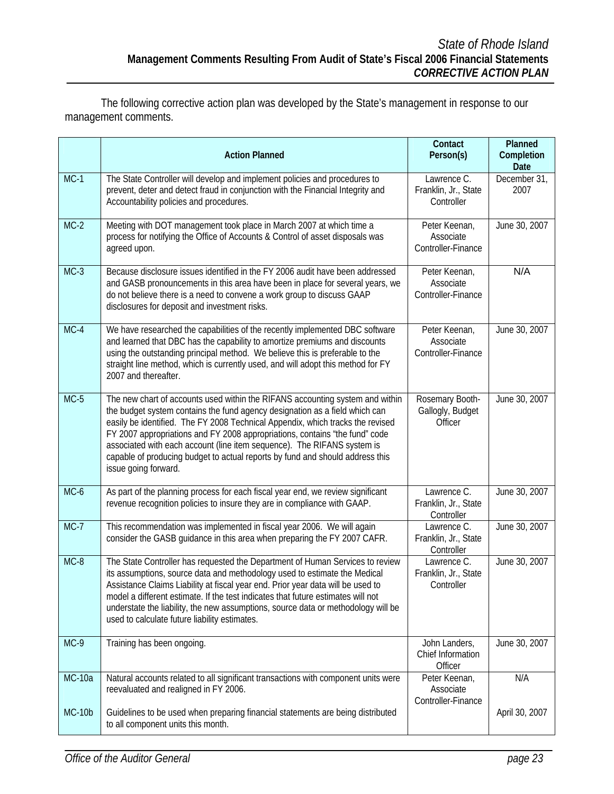The following corrective action plan was developed by the State's management in response to our management comments.

|               | <b>Action Planned</b>                                                                                                                                                                                                                                                                                                                                                                                                                                                                                             | Contact<br>Person(s)                              | Planned<br>Completion<br>Date |
|---------------|-------------------------------------------------------------------------------------------------------------------------------------------------------------------------------------------------------------------------------------------------------------------------------------------------------------------------------------------------------------------------------------------------------------------------------------------------------------------------------------------------------------------|---------------------------------------------------|-------------------------------|
| $MC-1$        | The State Controller will develop and implement policies and procedures to<br>prevent, deter and detect fraud in conjunction with the Financial Integrity and<br>Accountability policies and procedures.                                                                                                                                                                                                                                                                                                          | Lawrence C.<br>Franklin, Jr., State<br>Controller | December 31,<br>2007          |
| $MC-2$        | Meeting with DOT management took place in March 2007 at which time a<br>process for notifying the Office of Accounts & Control of asset disposals was<br>agreed upon.                                                                                                                                                                                                                                                                                                                                             | Peter Keenan,<br>Associate<br>Controller-Finance  | June 30, 2007                 |
| $MC-3$        | Because disclosure issues identified in the FY 2006 audit have been addressed<br>and GASB pronouncements in this area have been in place for several years, we<br>do not believe there is a need to convene a work group to discuss GAAP<br>disclosures for deposit and investment risks.                                                                                                                                                                                                                         | Peter Keenan,<br>Associate<br>Controller-Finance  | N/A                           |
| $MC-4$        | We have researched the capabilities of the recently implemented DBC software<br>and learned that DBC has the capability to amortize premiums and discounts<br>using the outstanding principal method. We believe this is preferable to the<br>straight line method, which is currently used, and will adopt this method for FY<br>2007 and thereafter.                                                                                                                                                            | Peter Keenan,<br>Associate<br>Controller-Finance  | June 30, 2007                 |
| $MC-5$        | The new chart of accounts used within the RIFANS accounting system and within<br>the budget system contains the fund agency designation as a field which can<br>easily be identified. The FY 2008 Technical Appendix, which tracks the revised<br>FY 2007 appropriations and FY 2008 appropriations, contains "the fund" code<br>associated with each account (line item sequence). The RIFANS system is<br>capable of producing budget to actual reports by fund and should address this<br>issue going forward. | Rosemary Booth-<br>Gallogly, Budget<br>Officer    | June 30, 2007                 |
| MC-6          | As part of the planning process for each fiscal year end, we review significant<br>revenue recognition policies to insure they are in compliance with GAAP.                                                                                                                                                                                                                                                                                                                                                       | Lawrence C.<br>Franklin, Jr., State<br>Controller | June 30, 2007                 |
| $MC-7$        | This recommendation was implemented in fiscal year 2006. We will again<br>consider the GASB guidance in this area when preparing the FY 2007 CAFR.                                                                                                                                                                                                                                                                                                                                                                | Lawrence C.<br>Franklin, Jr., State<br>Controller | June 30, 2007                 |
| $MC-8$        | The State Controller has requested the Department of Human Services to review<br>its assumptions, source data and methodology used to estimate the Medical<br>Assistance Claims Liability at fiscal year end. Prior year data will be used to<br>model a different estimate. If the test indicates that future estimates will not<br>understate the liability, the new assumptions, source data or methodology will be<br>used to calculate future liability estimates.                                           | Lawrence C.<br>Franklin, Jr., State<br>Controller | June 30, 2007                 |
| MC-9          | Training has been ongoing.                                                                                                                                                                                                                                                                                                                                                                                                                                                                                        | John Landers,<br>Chief Information<br>Officer     | June 30, 2007                 |
| <b>MC-10a</b> | Natural accounts related to all significant transactions with component units were<br>reevaluated and realigned in FY 2006.                                                                                                                                                                                                                                                                                                                                                                                       | Peter Keenan,<br>Associate<br>Controller-Finance  | N/A                           |
| $MC-10b$      | Guidelines to be used when preparing financial statements are being distributed<br>to all component units this month.                                                                                                                                                                                                                                                                                                                                                                                             |                                                   | April 30, 2007                |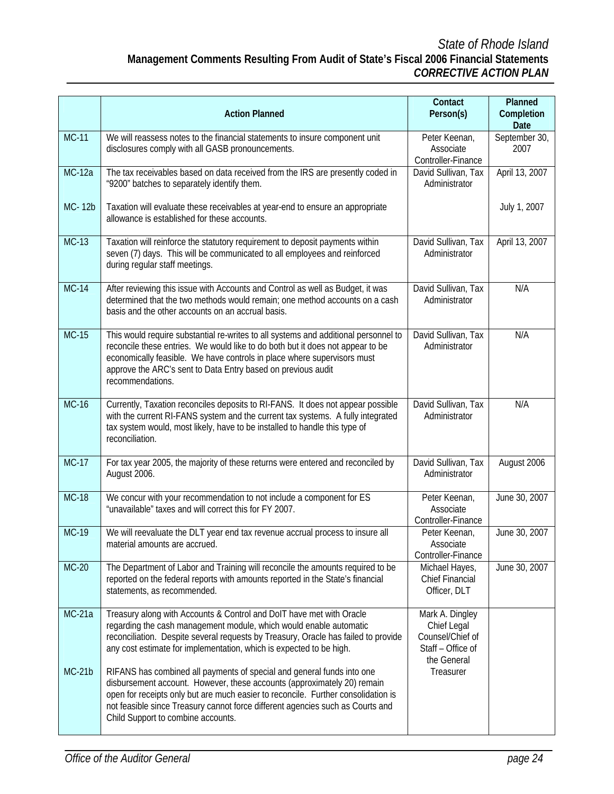## *State of Rhode Island*  **Management Comments Resulting From Audit of State's Fiscal 2006 Financial Statements**  *CORRECTIVE ACTION PLAN*

|               |                                                                                                                                                                                                                                                                                                                                                                | Contact                                                                                | Planned               |
|---------------|----------------------------------------------------------------------------------------------------------------------------------------------------------------------------------------------------------------------------------------------------------------------------------------------------------------------------------------------------------------|----------------------------------------------------------------------------------------|-----------------------|
|               | <b>Action Planned</b>                                                                                                                                                                                                                                                                                                                                          | Person(s)                                                                              | Completion<br>Date    |
| <b>MC-11</b>  | We will reassess notes to the financial statements to insure component unit<br>disclosures comply with all GASB pronouncements.                                                                                                                                                                                                                                | Peter Keenan,<br>Associate<br>Controller-Finance                                       | September 30,<br>2007 |
| $MC-12a$      | The tax receivables based on data received from the IRS are presently coded in<br>"9200" batches to separately identify them.                                                                                                                                                                                                                                  | David Sullivan, Tax<br>Administrator                                                   | April 13, 2007        |
| MC-12b        | Taxation will evaluate these receivables at year-end to ensure an appropriate<br>allowance is established for these accounts.                                                                                                                                                                                                                                  |                                                                                        | July 1, 2007          |
| $MC-13$       | Taxation will reinforce the statutory requirement to deposit payments within<br>seven (7) days. This will be communicated to all employees and reinforced<br>during regular staff meetings.                                                                                                                                                                    | David Sullivan, Tax<br>Administrator                                                   | April 13, 2007        |
| $MC-14$       | After reviewing this issue with Accounts and Control as well as Budget, it was<br>determined that the two methods would remain; one method accounts on a cash<br>basis and the other accounts on an accrual basis.                                                                                                                                             | David Sullivan, Tax<br>Administrator                                                   | N/A                   |
| $MC-15$       | This would require substantial re-writes to all systems and additional personnel to<br>reconcile these entries. We would like to do both but it does not appear to be<br>economically feasible. We have controls in place where supervisors must<br>approve the ARC's sent to Data Entry based on previous audit<br>recommendations.                           | David Sullivan, Tax<br>Administrator                                                   | N/A                   |
| $MC-16$       | Currently, Taxation reconciles deposits to RI-FANS. It does not appear possible<br>with the current RI-FANS system and the current tax systems. A fully integrated<br>tax system would, most likely, have to be installed to handle this type of<br>reconciliation.                                                                                            | David Sullivan, Tax<br>Administrator                                                   | N/A                   |
| $MC-17$       | For tax year 2005, the majority of these returns were entered and reconciled by<br>August 2006.                                                                                                                                                                                                                                                                | David Sullivan, Tax<br>Administrator                                                   | August 2006           |
| <b>MC-18</b>  | We concur with your recommendation to not include a component for ES<br>"unavailable" taxes and will correct this for FY 2007.                                                                                                                                                                                                                                 | Peter Keenan,<br>Associate<br>Controller-Finance                                       | June 30, 2007         |
| $MC-19$       | We will reevaluate the DLT year end tax revenue accrual process to insure all<br>material amounts are accrued.                                                                                                                                                                                                                                                 | Peter Keenan,<br>Associate<br>Controller-Finance                                       | June 30, 2007         |
| $MC-20$       | The Department of Labor and Training will reconcile the amounts required to be<br>reported on the federal reports with amounts reported in the State's financial<br>statements, as recommended.                                                                                                                                                                | Michael Hayes,<br><b>Chief Financial</b><br>Officer, DLT                               | June 30, 2007         |
| <b>MC-21a</b> | Treasury along with Accounts & Control and DoIT have met with Oracle<br>regarding the cash management module, which would enable automatic<br>reconciliation. Despite several requests by Treasury, Oracle has failed to provide<br>any cost estimate for implementation, which is expected to be high.                                                        | Mark A. Dingley<br>Chief Legal<br>Counsel/Chief of<br>Staff - Office of<br>the General |                       |
| $MC-21b$      | RIFANS has combined all payments of special and general funds into one<br>disbursement account. However, these accounts (approximately 20) remain<br>open for receipts only but are much easier to reconcile. Further consolidation is<br>not feasible since Treasury cannot force different agencies such as Courts and<br>Child Support to combine accounts. | Treasurer                                                                              |                       |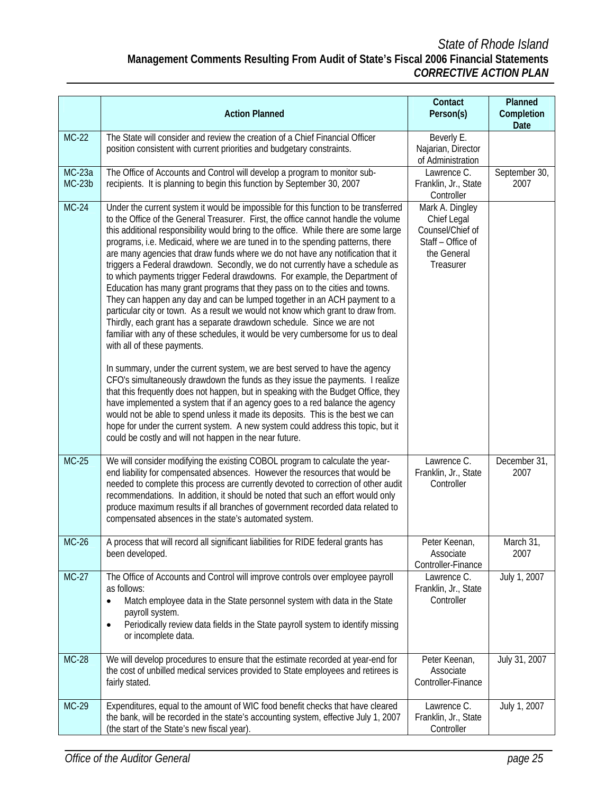## *State of Rhode Island*  **Management Comments Resulting From Audit of State's Fiscal 2006 Financial Statements**  *CORRECTIVE ACTION PLAN*

|                           | <b>Action Planned</b>                                                                                                                                                                                                                                                                                                                                                                                                                                                                                                                                                                                                                                                                                                                                                                                                                                                                                                                                                                                                                                                                                                                                                                                                                                                                                                                                                                                                                                                                                                                                                                                                        | Contact<br>Person(s)                                                                                | Planned<br>Completion |
|---------------------------|------------------------------------------------------------------------------------------------------------------------------------------------------------------------------------------------------------------------------------------------------------------------------------------------------------------------------------------------------------------------------------------------------------------------------------------------------------------------------------------------------------------------------------------------------------------------------------------------------------------------------------------------------------------------------------------------------------------------------------------------------------------------------------------------------------------------------------------------------------------------------------------------------------------------------------------------------------------------------------------------------------------------------------------------------------------------------------------------------------------------------------------------------------------------------------------------------------------------------------------------------------------------------------------------------------------------------------------------------------------------------------------------------------------------------------------------------------------------------------------------------------------------------------------------------------------------------------------------------------------------------|-----------------------------------------------------------------------------------------------------|-----------------------|
| $MC-22$                   | The State will consider and review the creation of a Chief Financial Officer<br>position consistent with current priorities and budgetary constraints.                                                                                                                                                                                                                                                                                                                                                                                                                                                                                                                                                                                                                                                                                                                                                                                                                                                                                                                                                                                                                                                                                                                                                                                                                                                                                                                                                                                                                                                                       | Beverly E.<br>Najarian, Director<br>of Administration                                               | Date                  |
| <b>MC-23a</b><br>$MC-23b$ | The Office of Accounts and Control will develop a program to monitor sub-<br>recipients. It is planning to begin this function by September 30, 2007                                                                                                                                                                                                                                                                                                                                                                                                                                                                                                                                                                                                                                                                                                                                                                                                                                                                                                                                                                                                                                                                                                                                                                                                                                                                                                                                                                                                                                                                         | Lawrence C.<br>Franklin, Jr., State<br>Controller                                                   | September 30,<br>2007 |
| $MC-24$                   | Under the current system it would be impossible for this function to be transferred<br>to the Office of the General Treasurer. First, the office cannot handle the volume<br>this additional responsibility would bring to the office. While there are some large<br>programs, i.e. Medicaid, where we are tuned in to the spending patterns, there<br>are many agencies that draw funds where we do not have any notification that it<br>triggers a Federal drawdown. Secondly, we do not currently have a schedule as<br>to which payments trigger Federal drawdowns. For example, the Department of<br>Education has many grant programs that they pass on to the cities and towns.<br>They can happen any day and can be lumped together in an ACH payment to a<br>particular city or town. As a result we would not know which grant to draw from.<br>Thirdly, each grant has a separate drawdown schedule. Since we are not<br>familiar with any of these schedules, it would be very cumbersome for us to deal<br>with all of these payments.<br>In summary, under the current system, we are best served to have the agency<br>CFO's simultaneously drawdown the funds as they issue the payments. I realize<br>that this frequently does not happen, but in speaking with the Budget Office, they<br>have implemented a system that if an agency goes to a red balance the agency<br>would not be able to spend unless it made its deposits. This is the best we can<br>hope for under the current system. A new system could address this topic, but it<br>could be costly and will not happen in the near future. | Mark A. Dingley<br>Chief Legal<br>Counsel/Chief of<br>Staff - Office of<br>the General<br>Treasurer |                       |
| $MC-25$                   | We will consider modifying the existing COBOL program to calculate the year-<br>end liability for compensated absences. However the resources that would be<br>needed to complete this process are currently devoted to correction of other audit<br>recommendations. In addition, it should be noted that such an effort would only<br>produce maximum results if all branches of government recorded data related to<br>compensated absences in the state's automated system.                                                                                                                                                                                                                                                                                                                                                                                                                                                                                                                                                                                                                                                                                                                                                                                                                                                                                                                                                                                                                                                                                                                                              | Lawrence C.<br>Franklin, Jr., State<br>Controller                                                   | December 31,<br>2007  |
| $MC-26$                   | A process that will record all significant liabilities for RIDE federal grants has<br>been developed.                                                                                                                                                                                                                                                                                                                                                                                                                                                                                                                                                                                                                                                                                                                                                                                                                                                                                                                                                                                                                                                                                                                                                                                                                                                                                                                                                                                                                                                                                                                        | Peter Keenan,<br>Associate<br>Controller-Finance                                                    | March 31,<br>2007     |
| $MC-27$                   | The Office of Accounts and Control will improve controls over employee payroll<br>as follows:<br>Match employee data in the State personnel system with data in the State<br>$\bullet$<br>payroll system.<br>Periodically review data fields in the State payroll system to identify missing<br>$\bullet$<br>or incomplete data.                                                                                                                                                                                                                                                                                                                                                                                                                                                                                                                                                                                                                                                                                                                                                                                                                                                                                                                                                                                                                                                                                                                                                                                                                                                                                             | Lawrence C.<br>Franklin, Jr., State<br>Controller                                                   | July 1, 2007          |
| <b>MC-28</b>              | We will develop procedures to ensure that the estimate recorded at year-end for<br>the cost of unbilled medical services provided to State employees and retirees is<br>fairly stated.                                                                                                                                                                                                                                                                                                                                                                                                                                                                                                                                                                                                                                                                                                                                                                                                                                                                                                                                                                                                                                                                                                                                                                                                                                                                                                                                                                                                                                       | Peter Keenan,<br>Associate<br>Controller-Finance                                                    | July 31, 2007         |
| MC-29                     | Expenditures, equal to the amount of WIC food benefit checks that have cleared<br>the bank, will be recorded in the state's accounting system, effective July 1, 2007<br>(the start of the State's new fiscal year).                                                                                                                                                                                                                                                                                                                                                                                                                                                                                                                                                                                                                                                                                                                                                                                                                                                                                                                                                                                                                                                                                                                                                                                                                                                                                                                                                                                                         | Lawrence C.<br>Franklin, Jr., State<br>Controller                                                   | July 1, 2007          |